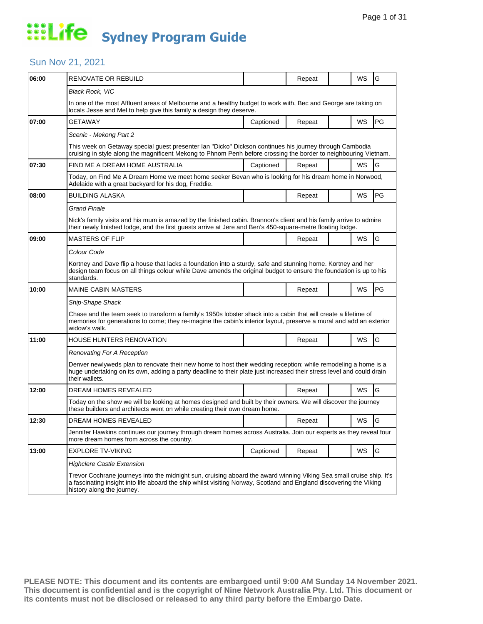### Sun Nov 21, 2021

| 06:00 | RENOVATE OR REBUILD                                                                                                                                                                                                                                                       |                                                                                                                                                                                              | Repeat |  | WS        | G         |  |  |  |
|-------|---------------------------------------------------------------------------------------------------------------------------------------------------------------------------------------------------------------------------------------------------------------------------|----------------------------------------------------------------------------------------------------------------------------------------------------------------------------------------------|--------|--|-----------|-----------|--|--|--|
|       | Black Rock, VIC                                                                                                                                                                                                                                                           |                                                                                                                                                                                              |        |  |           |           |  |  |  |
|       | In one of the most Affluent areas of Melbourne and a healthy budget to work with, Bec and George are taking on<br>locals Jesse and Mel to help give this family a design they deserve.                                                                                    |                                                                                                                                                                                              |        |  |           |           |  |  |  |
| 07:00 | GETAWAY                                                                                                                                                                                                                                                                   | Captioned                                                                                                                                                                                    | Repeat |  | WS        | PG        |  |  |  |
|       | Scenic - Mekong Part 2                                                                                                                                                                                                                                                    |                                                                                                                                                                                              |        |  |           |           |  |  |  |
|       | This week on Getaway special guest presenter Ian "Dicko" Dickson continues his journey through Cambodia<br>cruising in style along the magnificent Mekong to Phnom Penh before crossing the border to neighbouring Vietnam.                                               |                                                                                                                                                                                              |        |  |           |           |  |  |  |
| 07:30 | FIND ME A DREAM HOME AUSTRALIA                                                                                                                                                                                                                                            | Captioned                                                                                                                                                                                    | Repeat |  | <b>WS</b> | G         |  |  |  |
|       | Today, on Find Me A Dream Home we meet home seeker Bevan who is looking for his dream home in Norwood,<br>Adelaide with a great backyard for his dog, Freddie.                                                                                                            |                                                                                                                                                                                              |        |  |           |           |  |  |  |
| 08:00 | <b>BUILDING ALASKA</b>                                                                                                                                                                                                                                                    |                                                                                                                                                                                              | Repeat |  | WS        | <b>PG</b> |  |  |  |
|       | Grand Finale                                                                                                                                                                                                                                                              |                                                                                                                                                                                              |        |  |           |           |  |  |  |
|       | Nick's family visits and his mum is amazed by the finished cabin. Brannon's client and his family arrive to admire<br>their newly finished lodge, and the first guests arrive at Jere and Ben's 450-square-metre floating lodge.                                          |                                                                                                                                                                                              |        |  |           |           |  |  |  |
| 09:00 | <b>MASTERS OF FLIP</b>                                                                                                                                                                                                                                                    |                                                                                                                                                                                              | Repeat |  | WS        | G         |  |  |  |
|       | Colour Code                                                                                                                                                                                                                                                               |                                                                                                                                                                                              |        |  |           |           |  |  |  |
|       | Kortney and Dave flip a house that lacks a foundation into a sturdy, safe and stunning home. Kortney and her<br>design team focus on all things colour while Dave amends the original budget to ensure the foundation is up to his<br>standards.                          |                                                                                                                                                                                              |        |  |           |           |  |  |  |
| 10:00 | MAINE CABIN MASTERS                                                                                                                                                                                                                                                       |                                                                                                                                                                                              | Repeat |  | WS        | <b>PG</b> |  |  |  |
|       | Ship-Shape Shack                                                                                                                                                                                                                                                          |                                                                                                                                                                                              |        |  |           |           |  |  |  |
|       | Chase and the team seek to transform a family's 1950s lobster shack into a cabin that will create a lifetime of<br>memories for generations to come; they re-imagine the cabin's interior layout, preserve a mural and add an exterior<br>widow's walk.                   |                                                                                                                                                                                              |        |  |           |           |  |  |  |
| 11:00 | HOUSE HUNTERS RENOVATION                                                                                                                                                                                                                                                  |                                                                                                                                                                                              | Repeat |  | WS        | G         |  |  |  |
|       | <b>Renovating For A Reception</b>                                                                                                                                                                                                                                         |                                                                                                                                                                                              |        |  |           |           |  |  |  |
|       | Denver newlyweds plan to renovate their new home to host their wedding reception; while remodeling a home is a<br>huge undertaking on its own, adding a party deadline to their plate just increased their stress level and could drain<br>their wallets.                 |                                                                                                                                                                                              |        |  |           |           |  |  |  |
| 12:00 | DREAM HOMES REVEALED                                                                                                                                                                                                                                                      |                                                                                                                                                                                              | Repeat |  | <b>WS</b> | G         |  |  |  |
|       |                                                                                                                                                                                                                                                                           | Today on the show we will be looking at homes designed and built by their owners. We will discover the journey<br>these builders and architects went on while creating their own dream home. |        |  |           |           |  |  |  |
| 12:30 | DREAM HOMES REVEALED                                                                                                                                                                                                                                                      |                                                                                                                                                                                              | Repeat |  | WS        | G         |  |  |  |
|       | Jennifer Hawkins continues our journey through dream homes across Australia. Join our experts as they reveal four<br>more dream homes from across the country.                                                                                                            |                                                                                                                                                                                              |        |  |           |           |  |  |  |
| 13:00 | <b>EXPLORE TV-VIKING</b>                                                                                                                                                                                                                                                  | Captioned                                                                                                                                                                                    | Repeat |  | WS        | G         |  |  |  |
|       | <b>Highclere Castle Extension</b>                                                                                                                                                                                                                                         |                                                                                                                                                                                              |        |  |           |           |  |  |  |
|       | Trevor Cochrane journeys into the midnight sun, cruising aboard the award winning Viking Sea small cruise ship. It's<br>a fascinating insight into life aboard the ship whilst visiting Norway, Scotland and England discovering the Viking<br>history along the journey. |                                                                                                                                                                                              |        |  |           |           |  |  |  |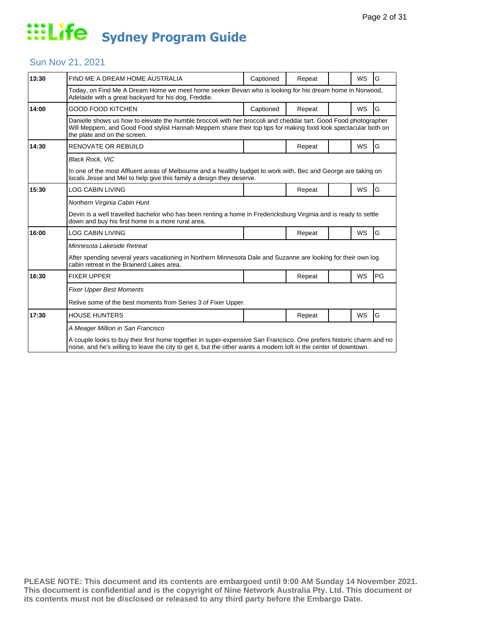### Sun Nov 21, 2021

| 13:30 | FIND ME A DREAM HOME AUSTRALIA                                                                                                                                                                                                                                    | Captioned | Repeat |  | WS        | G  |  |  |  |
|-------|-------------------------------------------------------------------------------------------------------------------------------------------------------------------------------------------------------------------------------------------------------------------|-----------|--------|--|-----------|----|--|--|--|
|       | Today, on Find Me A Dream Home we meet home seeker Bevan who is looking for his dream home in Norwood,<br>Adelaide with a great backyard for his dog, Freddie.                                                                                                    |           |        |  |           |    |  |  |  |
| 14:00 | <b>GOOD FOOD KITCHEN</b>                                                                                                                                                                                                                                          | Captioned | Repeat |  | WS        | G  |  |  |  |
|       | Danielle shows us how to elevate the humble broccoli with her broccoli and cheddar tart. Good Food photographer<br>Will Meppem, and Good Food stylist Hannah Meppem share their top tips for making food look spectacular both on<br>the plate and on the screen. |           |        |  |           |    |  |  |  |
| 14:30 | <b>RENOVATE OR REBUILD</b>                                                                                                                                                                                                                                        |           | Repeat |  | WS        | G  |  |  |  |
|       | <b>Black Rock, VIC</b>                                                                                                                                                                                                                                            |           |        |  |           |    |  |  |  |
|       | In one of the most Affluent areas of Melbourne and a healthy budget to work with, Bec and George are taking on<br>locals Jesse and Mel to help give this family a design they deserve.                                                                            |           |        |  |           |    |  |  |  |
| 15:30 | <b>LOG CABIN LIVING</b>                                                                                                                                                                                                                                           |           | Repeat |  | <b>WS</b> | G  |  |  |  |
|       | Northern Virginia Cabin Hunt                                                                                                                                                                                                                                      |           |        |  |           |    |  |  |  |
|       | Devin is a well travelled bachelor who has been renting a home in Fredericksburg Virginia and is ready to settle<br>down and buy his first home in a more rural area.                                                                                             |           |        |  |           |    |  |  |  |
| 16:00 | LOG CABIN LIVING                                                                                                                                                                                                                                                  |           | Repeat |  | WS        | G  |  |  |  |
|       | Minnesota Lakeside Retreat                                                                                                                                                                                                                                        |           |        |  |           |    |  |  |  |
|       | After spending several years vacationing in Northern Minnesota Dale and Suzanne are looking for their own log<br>cabin retreat in the Brainerd Lakes area.                                                                                                        |           |        |  |           |    |  |  |  |
| 16:30 | <b>FIXER UPPER</b>                                                                                                                                                                                                                                                |           | Repeat |  | WS        | PG |  |  |  |
|       | <b>Fixer Upper Best Moments</b>                                                                                                                                                                                                                                   |           |        |  |           |    |  |  |  |
|       | Relive some of the best moments from Series 3 of Fixer Upper.                                                                                                                                                                                                     |           |        |  |           |    |  |  |  |
| 17:30 | <b>HOUSE HUNTERS</b>                                                                                                                                                                                                                                              |           | Repeat |  | WS        | G  |  |  |  |
|       | A Meager Million in San Francisco                                                                                                                                                                                                                                 |           |        |  |           |    |  |  |  |
|       | A couple looks to buy their first home together in super-expensive San Francisco. One prefers historic charm and no<br>noise, and he's willing to leave the city to get it, but the other wants a modern loft in the center of downtown.                          |           |        |  |           |    |  |  |  |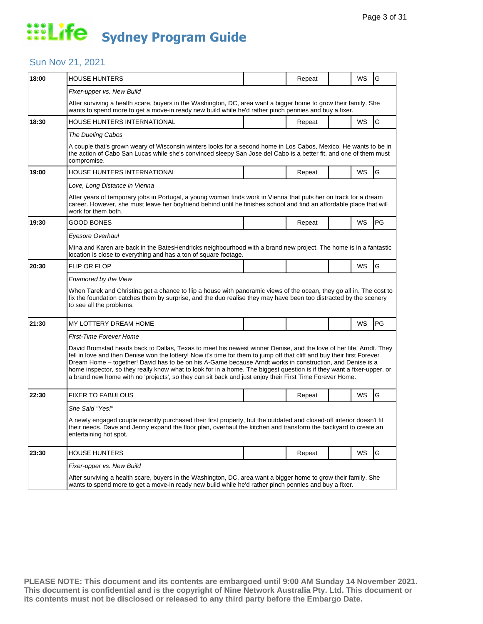### Sun Nov 21, 2021

| 18:00 | <b>HOUSE HUNTERS</b>                                                                                                                                                                                                                                                                                                                                                                                                                                                                                                                                                                            |  | Repeat |  | WS        | G  |  |  |  |
|-------|-------------------------------------------------------------------------------------------------------------------------------------------------------------------------------------------------------------------------------------------------------------------------------------------------------------------------------------------------------------------------------------------------------------------------------------------------------------------------------------------------------------------------------------------------------------------------------------------------|--|--------|--|-----------|----|--|--|--|
|       | Fixer-upper vs. New Build                                                                                                                                                                                                                                                                                                                                                                                                                                                                                                                                                                       |  |        |  |           |    |  |  |  |
|       | After surviving a health scare, buyers in the Washington, DC, area want a bigger home to grow their family. She<br>wants to spend more to get a move-in ready new build while he'd rather pinch pennies and buy a fixer.                                                                                                                                                                                                                                                                                                                                                                        |  |        |  |           |    |  |  |  |
| 18:30 | HOUSE HUNTERS INTERNATIONAL                                                                                                                                                                                                                                                                                                                                                                                                                                                                                                                                                                     |  | Repeat |  | WS        | G  |  |  |  |
|       | The Dueling Cabos                                                                                                                                                                                                                                                                                                                                                                                                                                                                                                                                                                               |  |        |  |           |    |  |  |  |
|       | A couple that's grown weary of Wisconsin winters looks for a second home in Los Cabos, Mexico. He wants to be in<br>the action of Cabo San Lucas while she's convinced sleepy San Jose del Cabo is a better fit, and one of them must<br>compromise.                                                                                                                                                                                                                                                                                                                                            |  |        |  |           |    |  |  |  |
| 19:00 | <b>HOUSE HUNTERS INTERNATIONAL</b>                                                                                                                                                                                                                                                                                                                                                                                                                                                                                                                                                              |  | Repeat |  | <b>WS</b> | G  |  |  |  |
|       | Love, Long Distance in Vienna                                                                                                                                                                                                                                                                                                                                                                                                                                                                                                                                                                   |  |        |  |           |    |  |  |  |
|       | After years of temporary jobs in Portugal, a young woman finds work in Vienna that puts her on track for a dream<br>career. However, she must leave her boyfriend behind until he finishes school and find an affordable place that will<br>work for them both.                                                                                                                                                                                                                                                                                                                                 |  |        |  |           |    |  |  |  |
| 19:30 | GOOD BONES                                                                                                                                                                                                                                                                                                                                                                                                                                                                                                                                                                                      |  | Repeat |  | WS        | PG |  |  |  |
|       | Eyesore Overhaul                                                                                                                                                                                                                                                                                                                                                                                                                                                                                                                                                                                |  |        |  |           |    |  |  |  |
|       | Mina and Karen are back in the BatesHendricks neighbourhood with a brand new project. The home is in a fantastic<br>location is close to everything and has a ton of square footage.                                                                                                                                                                                                                                                                                                                                                                                                            |  |        |  |           |    |  |  |  |
| 20:30 | <b>FLIP OR FLOP</b>                                                                                                                                                                                                                                                                                                                                                                                                                                                                                                                                                                             |  |        |  | <b>WS</b> | G  |  |  |  |
|       | Enamored by the View                                                                                                                                                                                                                                                                                                                                                                                                                                                                                                                                                                            |  |        |  |           |    |  |  |  |
|       | When Tarek and Christina get a chance to flip a house with panoramic views of the ocean, they go all in. The cost to<br>fix the foundation catches them by surprise, and the duo realise they may have been too distracted by the scenery<br>to see all the problems.                                                                                                                                                                                                                                                                                                                           |  |        |  |           |    |  |  |  |
| 21:30 | MY LOTTERY DREAM HOME                                                                                                                                                                                                                                                                                                                                                                                                                                                                                                                                                                           |  |        |  | WS        | PG |  |  |  |
|       | <b>First-Time Forever Home</b>                                                                                                                                                                                                                                                                                                                                                                                                                                                                                                                                                                  |  |        |  |           |    |  |  |  |
|       | David Bromstad heads back to Dallas, Texas to meet his newest winner Denise, and the love of her life, Arndt. They<br>fell in love and then Denise won the lottery! Now it's time for them to jump off that cliff and buy their first Forever<br>Dream Home – together! David has to be on his A-Game because Arndt works in construction, and Denise is a<br>home inspector, so they really know what to look for in a home. The biggest question is if they want a fixer-upper, or<br>a brand new home with no 'projects', so they can sit back and just enjoy their First Time Forever Home. |  |        |  |           |    |  |  |  |
| 22:30 | <b>FIXER TO FABULOUS</b>                                                                                                                                                                                                                                                                                                                                                                                                                                                                                                                                                                        |  | Repeat |  | WS        | G  |  |  |  |
|       | She Said "Yes!"                                                                                                                                                                                                                                                                                                                                                                                                                                                                                                                                                                                 |  |        |  |           |    |  |  |  |
|       | A newly engaged couple recently purchased their first property, but the outdated and closed-off interior doesn't fit<br>their needs. Dave and Jenny expand the floor plan, overhaul the kitchen and transform the backyard to create an<br>entertaining hot spot.                                                                                                                                                                                                                                                                                                                               |  |        |  |           |    |  |  |  |
| 23:30 | <b>HOUSE HUNTERS</b>                                                                                                                                                                                                                                                                                                                                                                                                                                                                                                                                                                            |  | Repeat |  | <b>WS</b> | G  |  |  |  |
|       | Fixer-upper vs. New Build                                                                                                                                                                                                                                                                                                                                                                                                                                                                                                                                                                       |  |        |  |           |    |  |  |  |
|       | After surviving a health scare, buyers in the Washington, DC, area want a bigger home to grow their family. She<br>wants to spend more to get a move-in ready new build while he'd rather pinch pennies and buy a fixer.                                                                                                                                                                                                                                                                                                                                                                        |  |        |  |           |    |  |  |  |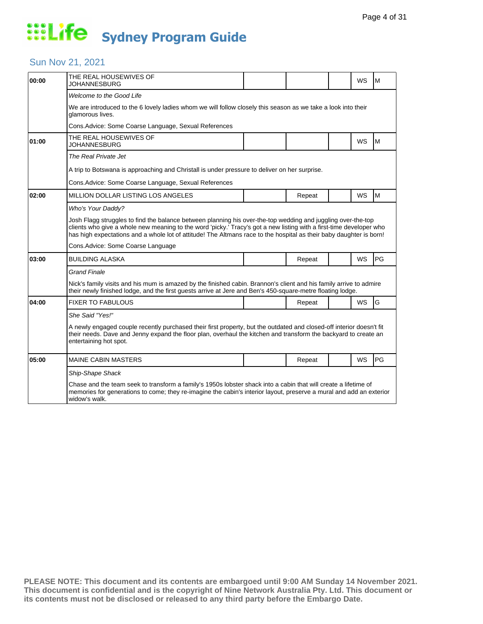### Sun Nov 21, 2021

| 00:00 | THE REAL HOUSEWIVES OF<br>JOHANNESBURG                                                                                                                                                                                                                                                                                                                     |  |        |  | WS        | M  |  |  |
|-------|------------------------------------------------------------------------------------------------------------------------------------------------------------------------------------------------------------------------------------------------------------------------------------------------------------------------------------------------------------|--|--------|--|-----------|----|--|--|
|       | Welcome to the Good Life                                                                                                                                                                                                                                                                                                                                   |  |        |  |           |    |  |  |
|       | We are introduced to the 6 lovely ladies whom we will follow closely this season as we take a look into their<br>glamorous lives.                                                                                                                                                                                                                          |  |        |  |           |    |  |  |
|       | Cons. Advice: Some Coarse Language, Sexual References                                                                                                                                                                                                                                                                                                      |  |        |  |           |    |  |  |
| 01:00 | THE REAL HOUSEWIVES OF<br><b>JOHANNESBURG</b>                                                                                                                                                                                                                                                                                                              |  |        |  | <b>WS</b> | M  |  |  |
|       | The Real Private Jet                                                                                                                                                                                                                                                                                                                                       |  |        |  |           |    |  |  |
|       | A trip to Botswana is approaching and Christall is under pressure to deliver on her surprise.                                                                                                                                                                                                                                                              |  |        |  |           |    |  |  |
|       | Cons. Advice: Some Coarse Language, Sexual References                                                                                                                                                                                                                                                                                                      |  |        |  |           |    |  |  |
| 02:00 | MILLION DOLLAR LISTING LOS ANGELES                                                                                                                                                                                                                                                                                                                         |  | Repeat |  | <b>WS</b> | M  |  |  |
|       | Who's Your Daddy?                                                                                                                                                                                                                                                                                                                                          |  |        |  |           |    |  |  |
|       | Josh Flagg struggles to find the balance between planning his over-the-top wedding and juggling over-the-top<br>clients who give a whole new meaning to the word 'picky.' Tracy's got a new listing with a first-time developer who<br>has high expectations and a whole lot of attitude! The Altmans race to the hospital as their baby daughter is born! |  |        |  |           |    |  |  |
|       | Cons. Advice: Some Coarse Language                                                                                                                                                                                                                                                                                                                         |  |        |  |           |    |  |  |
| 03:00 | <b>BUILDING ALASKA</b>                                                                                                                                                                                                                                                                                                                                     |  | Repeat |  | <b>WS</b> | PG |  |  |
|       | <b>Grand Finale</b>                                                                                                                                                                                                                                                                                                                                        |  |        |  |           |    |  |  |
|       | Nick's family visits and his mum is amazed by the finished cabin. Brannon's client and his family arrive to admire<br>their newly finished lodge, and the first guests arrive at Jere and Ben's 450-square-metre floating lodge.                                                                                                                           |  |        |  |           |    |  |  |
| 04:00 | <b>FIXER TO FABULOUS</b>                                                                                                                                                                                                                                                                                                                                   |  | Repeat |  | <b>WS</b> | G  |  |  |
|       | She Said "Yes!"                                                                                                                                                                                                                                                                                                                                            |  |        |  |           |    |  |  |
|       | A newly engaged couple recently purchased their first property, but the outdated and closed-off interior doesn't fit<br>their needs. Dave and Jenny expand the floor plan, overhaul the kitchen and transform the backyard to create an<br>entertaining hot spot.                                                                                          |  |        |  |           |    |  |  |
| 05:00 | <b>MAINE CABIN MASTERS</b>                                                                                                                                                                                                                                                                                                                                 |  | Repeat |  | <b>WS</b> | PG |  |  |
|       | Ship-Shape Shack                                                                                                                                                                                                                                                                                                                                           |  |        |  |           |    |  |  |
|       | Chase and the team seek to transform a family's 1950s lobster shack into a cabin that will create a lifetime of<br>memories for generations to come; they re-imagine the cabin's interior layout, preserve a mural and add an exterior<br>widow's walk.                                                                                                    |  |        |  |           |    |  |  |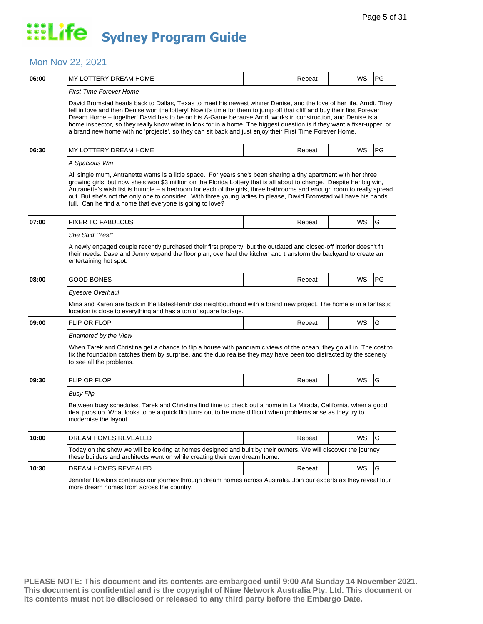#### Mon Nov 22, 2021

| MY LOTTERY DREAM HOME                                                                                                                                                                                                                                                                                                                                                                                                                                                                                                                                                                           |  | Repeat                                                                     |  | WS        | <b>PG</b>                                                                                                                                                                                                                                                                                                                                                 |  |  |  |
|-------------------------------------------------------------------------------------------------------------------------------------------------------------------------------------------------------------------------------------------------------------------------------------------------------------------------------------------------------------------------------------------------------------------------------------------------------------------------------------------------------------------------------------------------------------------------------------------------|--|----------------------------------------------------------------------------|--|-----------|-----------------------------------------------------------------------------------------------------------------------------------------------------------------------------------------------------------------------------------------------------------------------------------------------------------------------------------------------------------|--|--|--|
| First-Time Forever Home                                                                                                                                                                                                                                                                                                                                                                                                                                                                                                                                                                         |  |                                                                            |  |           |                                                                                                                                                                                                                                                                                                                                                           |  |  |  |
| David Bromstad heads back to Dallas, Texas to meet his newest winner Denise, and the love of her life, Arndt. They<br>fell in love and then Denise won the lottery! Now it's time for them to jump off that cliff and buy their first Forever<br>Dream Home - together! David has to be on his A-Game because Arndt works in construction, and Denise is a<br>home inspector, so they really know what to look for in a home. The biggest question is if they want a fixer-upper, or<br>a brand new home with no 'projects', so they can sit back and just enjoy their First Time Forever Home. |  |                                                                            |  |           |                                                                                                                                                                                                                                                                                                                                                           |  |  |  |
| MY LOTTERY DREAM HOME                                                                                                                                                                                                                                                                                                                                                                                                                                                                                                                                                                           |  | Repeat                                                                     |  | <b>WS</b> | PG                                                                                                                                                                                                                                                                                                                                                        |  |  |  |
| A Spacious Win                                                                                                                                                                                                                                                                                                                                                                                                                                                                                                                                                                                  |  |                                                                            |  |           |                                                                                                                                                                                                                                                                                                                                                           |  |  |  |
| All single mum, Antranette wants is a little space. For years she's been sharing a tiny apartment with her three<br>growing girls, but now she's won \$3 million on the Florida Lottery that is all about to change. Despite her big win,<br>Antranette's wish list is humble - a bedroom for each of the girls, three bathrooms and enough room to really spread<br>out. But she's not the only one to consider. With three young ladies to please, David Bromstad will have his hands<br>full. Can he find a home that everyone is going to love?                                             |  |                                                                            |  |           |                                                                                                                                                                                                                                                                                                                                                           |  |  |  |
| <b>FIXER TO FABULOUS</b>                                                                                                                                                                                                                                                                                                                                                                                                                                                                                                                                                                        |  | Repeat                                                                     |  | WS        | G                                                                                                                                                                                                                                                                                                                                                         |  |  |  |
| She Said "Yes!"                                                                                                                                                                                                                                                                                                                                                                                                                                                                                                                                                                                 |  |                                                                            |  |           |                                                                                                                                                                                                                                                                                                                                                           |  |  |  |
| entertaining hot spot.                                                                                                                                                                                                                                                                                                                                                                                                                                                                                                                                                                          |  |                                                                            |  |           |                                                                                                                                                                                                                                                                                                                                                           |  |  |  |
| <b>GOOD BONES</b>                                                                                                                                                                                                                                                                                                                                                                                                                                                                                                                                                                               |  | Repeat                                                                     |  | WS        | <b>PG</b>                                                                                                                                                                                                                                                                                                                                                 |  |  |  |
| Eyesore Overhaul                                                                                                                                                                                                                                                                                                                                                                                                                                                                                                                                                                                |  |                                                                            |  |           |                                                                                                                                                                                                                                                                                                                                                           |  |  |  |
| Mina and Karen are back in the BatesHendricks neighbourhood with a brand new project. The home is in a fantastic<br>location is close to everything and has a ton of square footage.                                                                                                                                                                                                                                                                                                                                                                                                            |  |                                                                            |  |           |                                                                                                                                                                                                                                                                                                                                                           |  |  |  |
| <b>FLIP OR FLOP</b>                                                                                                                                                                                                                                                                                                                                                                                                                                                                                                                                                                             |  | Repeat                                                                     |  | WS        | G                                                                                                                                                                                                                                                                                                                                                         |  |  |  |
| Enamored by the View                                                                                                                                                                                                                                                                                                                                                                                                                                                                                                                                                                            |  |                                                                            |  |           |                                                                                                                                                                                                                                                                                                                                                           |  |  |  |
| When Tarek and Christina get a chance to flip a house with panoramic views of the ocean, they go all in. The cost to<br>fix the foundation catches them by surprise, and the duo realise they may have been too distracted by the scenery<br>to see all the problems.                                                                                                                                                                                                                                                                                                                           |  |                                                                            |  |           |                                                                                                                                                                                                                                                                                                                                                           |  |  |  |
| <b>FLIP OR FLOP</b>                                                                                                                                                                                                                                                                                                                                                                                                                                                                                                                                                                             |  | Repeat                                                                     |  | WS        | G                                                                                                                                                                                                                                                                                                                                                         |  |  |  |
| Busy Flip                                                                                                                                                                                                                                                                                                                                                                                                                                                                                                                                                                                       |  |                                                                            |  |           |                                                                                                                                                                                                                                                                                                                                                           |  |  |  |
| Between busy schedules, Tarek and Christina find time to check out a home in La Mirada, California, when a good<br>deal pops up. What looks to be a quick flip turns out to be more difficult when problems arise as they try to<br>modernise the layout.                                                                                                                                                                                                                                                                                                                                       |  |                                                                            |  |           |                                                                                                                                                                                                                                                                                                                                                           |  |  |  |
| DREAM HOMES REVEALED                                                                                                                                                                                                                                                                                                                                                                                                                                                                                                                                                                            |  | Repeat                                                                     |  | WS        | G                                                                                                                                                                                                                                                                                                                                                         |  |  |  |
|                                                                                                                                                                                                                                                                                                                                                                                                                                                                                                                                                                                                 |  |                                                                            |  |           |                                                                                                                                                                                                                                                                                                                                                           |  |  |  |
| <b>DREAM HOMES REVEALED</b>                                                                                                                                                                                                                                                                                                                                                                                                                                                                                                                                                                     |  | Repeat                                                                     |  | WS        | G                                                                                                                                                                                                                                                                                                                                                         |  |  |  |
| Jennifer Hawkins continues our journey through dream homes across Australia. Join our experts as they reveal four<br>more dream homes from across the country.                                                                                                                                                                                                                                                                                                                                                                                                                                  |  |                                                                            |  |           |                                                                                                                                                                                                                                                                                                                                                           |  |  |  |
|                                                                                                                                                                                                                                                                                                                                                                                                                                                                                                                                                                                                 |  | these builders and architects went on while creating their own dream home. |  |           | A newly engaged couple recently purchased their first property, but the outdated and closed-off interior doesn't fit<br>their needs. Dave and Jenny expand the floor plan, overhaul the kitchen and transform the backyard to create an<br>Today on the show we will be looking at homes designed and built by their owners. We will discover the journey |  |  |  |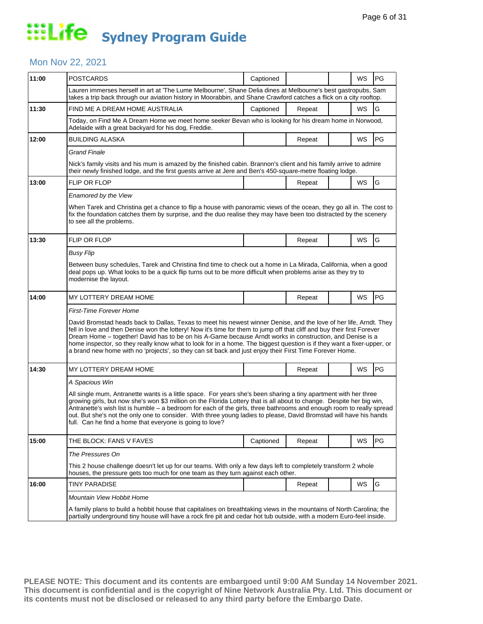#### Mon Nov 22, 2021

| 11:00 | <b>POSTCARDS</b>                                                                                                                                                                                                                                                                                                                                                                                                                                                                                                                                                                                | Captioned |        |  | WS | PG |  |  |
|-------|-------------------------------------------------------------------------------------------------------------------------------------------------------------------------------------------------------------------------------------------------------------------------------------------------------------------------------------------------------------------------------------------------------------------------------------------------------------------------------------------------------------------------------------------------------------------------------------------------|-----------|--------|--|----|----|--|--|
|       | Lauren immerses herself in art at 'The Lume Melbourne', Shane Delia dines at Melbourne's best gastropubs, Sam<br>takes a trip back through our aviation history in Moorabbin, and Shane Crawford catches a flick on a city rooftop.                                                                                                                                                                                                                                                                                                                                                             |           |        |  |    |    |  |  |
| 11:30 | FIND ME A DREAM HOME AUSTRALIA                                                                                                                                                                                                                                                                                                                                                                                                                                                                                                                                                                  | Captioned | Repeat |  | WS | G  |  |  |
|       | Today, on Find Me A Dream Home we meet home seeker Bevan who is looking for his dream home in Norwood,<br>Adelaide with a great backyard for his dog, Freddie.                                                                                                                                                                                                                                                                                                                                                                                                                                  |           |        |  |    |    |  |  |
| 12:00 | <b>BUILDING ALASKA</b>                                                                                                                                                                                                                                                                                                                                                                                                                                                                                                                                                                          |           | Repeat |  | WS | PG |  |  |
|       | <b>Grand Finale</b>                                                                                                                                                                                                                                                                                                                                                                                                                                                                                                                                                                             |           |        |  |    |    |  |  |
|       | Nick's family visits and his mum is amazed by the finished cabin. Brannon's client and his family arrive to admire<br>their newly finished lodge, and the first guests arrive at Jere and Ben's 450-square-metre floating lodge.                                                                                                                                                                                                                                                                                                                                                                |           |        |  |    |    |  |  |
| 13:00 | <b>FLIP OR FLOP</b>                                                                                                                                                                                                                                                                                                                                                                                                                                                                                                                                                                             |           | Repeat |  | WS | G  |  |  |
|       | Enamored by the View                                                                                                                                                                                                                                                                                                                                                                                                                                                                                                                                                                            |           |        |  |    |    |  |  |
|       | When Tarek and Christina get a chance to flip a house with panoramic views of the ocean, they go all in. The cost to<br>fix the foundation catches them by surprise, and the duo realise they may have been too distracted by the scenery<br>to see all the problems.                                                                                                                                                                                                                                                                                                                           |           |        |  |    |    |  |  |
| 13:30 | <b>FLIP OR FLOP</b>                                                                                                                                                                                                                                                                                                                                                                                                                                                                                                                                                                             |           | Repeat |  | WS | G  |  |  |
|       | Busy Flip                                                                                                                                                                                                                                                                                                                                                                                                                                                                                                                                                                                       |           |        |  |    |    |  |  |
|       | Between busy schedules, Tarek and Christina find time to check out a home in La Mirada, California, when a good<br>deal pops up. What looks to be a quick flip turns out to be more difficult when problems arise as they try to<br>modernise the layout.                                                                                                                                                                                                                                                                                                                                       |           |        |  |    |    |  |  |
| 14:00 | MY LOTTERY DREAM HOME                                                                                                                                                                                                                                                                                                                                                                                                                                                                                                                                                                           |           | Repeat |  | WS | PG |  |  |
|       | <b>First-Time Forever Home</b>                                                                                                                                                                                                                                                                                                                                                                                                                                                                                                                                                                  |           |        |  |    |    |  |  |
|       | David Bromstad heads back to Dallas, Texas to meet his newest winner Denise, and the love of her life, Arndt. They<br>fell in love and then Denise won the lottery! Now it's time for them to jump off that cliff and buy their first Forever<br>Dream Home – together! David has to be on his A-Game because Arndt works in construction, and Denise is a<br>home inspector, so they really know what to look for in a home. The biggest question is if they want a fixer-upper, or<br>a brand new home with no 'projects', so they can sit back and just enjoy their First Time Forever Home. |           |        |  |    |    |  |  |
| 14:30 | MY LOTTERY DREAM HOME                                                                                                                                                                                                                                                                                                                                                                                                                                                                                                                                                                           |           | Repeat |  | WS | PG |  |  |
|       | A Spacious Win                                                                                                                                                                                                                                                                                                                                                                                                                                                                                                                                                                                  |           |        |  |    |    |  |  |
|       | All single mum, Antranette wants is a little space. For years she's been sharing a tiny apartment with her three<br>growing girls, but now she's won \$3 million on the Florida Lottery that is all about to change. Despite her big win,<br>Antranette's wish list is humble - a bedroom for each of the girls, three bathrooms and enough room to really spread<br>out. But she's not the only one to consider. With three young ladies to please, David Bromstad will have his hands<br>full. Can he find a home that everyone is going to love?                                             |           |        |  |    |    |  |  |
| 15:00 | THE BLOCK: FANS V FAVES                                                                                                                                                                                                                                                                                                                                                                                                                                                                                                                                                                         | Captioned | Repeat |  | WS | PG |  |  |
|       | The Pressures On                                                                                                                                                                                                                                                                                                                                                                                                                                                                                                                                                                                |           |        |  |    |    |  |  |
|       | This 2 house challenge doesn't let up for our teams. With only a few days left to completely transform 2 whole<br>houses, the pressure gets too much for one team as they turn against each other.                                                                                                                                                                                                                                                                                                                                                                                              |           |        |  |    |    |  |  |
| 16:00 | <b>TINY PARADISE</b>                                                                                                                                                                                                                                                                                                                                                                                                                                                                                                                                                                            |           | Repeat |  | WS | G  |  |  |
|       | Mountain View Hobbit Home                                                                                                                                                                                                                                                                                                                                                                                                                                                                                                                                                                       |           |        |  |    |    |  |  |
|       | A family plans to build a hobbit house that capitalises on breathtaking views in the mountains of North Carolina; the<br>partially underground tiny house will have a rock fire pit and cedar hot tub outside, with a modern Euro-feel inside.                                                                                                                                                                                                                                                                                                                                                  |           |        |  |    |    |  |  |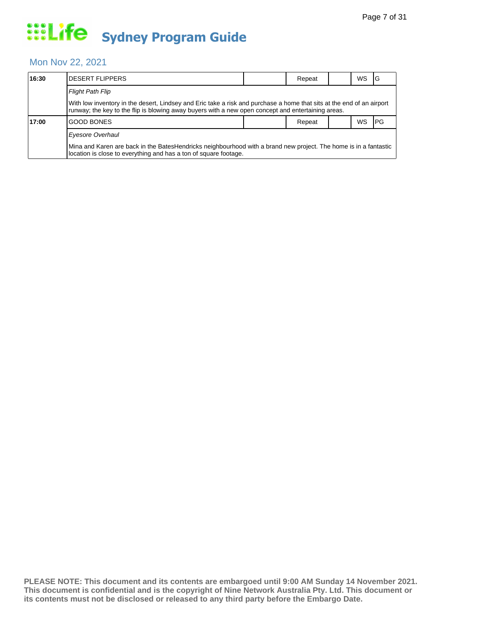#### Mon Nov 22, 2021

| 16:30 | IDESERT FLIPPERS                                                                                                                                                                                                            |  | Repeat |  | WS |      |  |  |  |
|-------|-----------------------------------------------------------------------------------------------------------------------------------------------------------------------------------------------------------------------------|--|--------|--|----|------|--|--|--|
|       | <b>Flight Path Flip</b>                                                                                                                                                                                                     |  |        |  |    |      |  |  |  |
|       | With low inventory in the desert, Lindsey and Eric take a risk and purchase a home that sits at the end of an airport<br>runway; the key to the flip is blowing away buyers with a new open concept and entertaining areas. |  |        |  |    |      |  |  |  |
| 17:00 | <b>GOOD BONES</b>                                                                                                                                                                                                           |  | Repeat |  | WS | l PG |  |  |  |
|       | Eyesore Overhaul                                                                                                                                                                                                            |  |        |  |    |      |  |  |  |
|       | Mina and Karen are back in the BatesHendricks neighbourhood with a brand new project. The home is in a fantastic<br>location is close to everything and has a ton of square footage.                                        |  |        |  |    |      |  |  |  |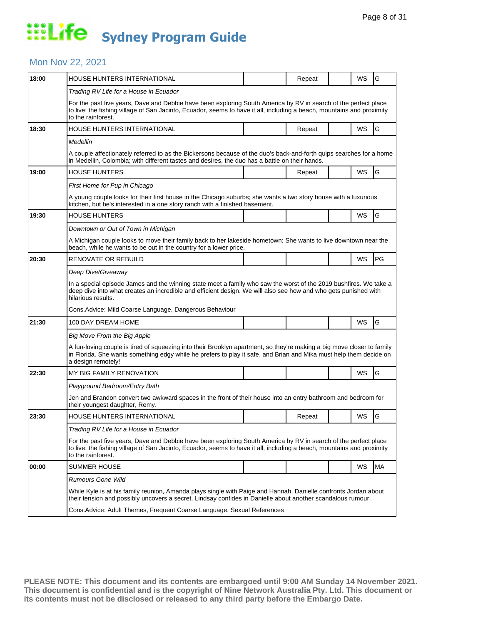#### Mon Nov 22, 2021

| 18:00 | HOUSE HUNTERS INTERNATIONAL                                                                                                                                                                                                                                        |                                                                                                                                                                                                                                | Repeat |  | WS        | G  |  |  |
|-------|--------------------------------------------------------------------------------------------------------------------------------------------------------------------------------------------------------------------------------------------------------------------|--------------------------------------------------------------------------------------------------------------------------------------------------------------------------------------------------------------------------------|--------|--|-----------|----|--|--|
|       | Trading RV Life for a House in Ecuador                                                                                                                                                                                                                             |                                                                                                                                                                                                                                |        |  |           |    |  |  |
|       | For the past five years, Dave and Debbie have been exploring South America by RV in search of the perfect place<br>to live; the fishing village of San Jacinto, Ecuador, seems to have it all, including a beach, mountains and proximity<br>to the rainforest.    |                                                                                                                                                                                                                                |        |  |           |    |  |  |
| 18:30 | HOUSE HUNTERS INTERNATIONAL                                                                                                                                                                                                                                        |                                                                                                                                                                                                                                | Repeat |  | WS        | G  |  |  |
|       | Medellin                                                                                                                                                                                                                                                           |                                                                                                                                                                                                                                |        |  |           |    |  |  |
|       | A couple affectionately referred to as the Bickersons because of the duo's back-and-forth quips searches for a home<br>in Medellin, Colombia; with different tastes and desires, the duo has a battle on their hands.                                              |                                                                                                                                                                                                                                |        |  |           |    |  |  |
| 19:00 | <b>HOUSE HUNTERS</b>                                                                                                                                                                                                                                               |                                                                                                                                                                                                                                | Repeat |  | WS        | G  |  |  |
|       | First Home for Pup in Chicago                                                                                                                                                                                                                                      |                                                                                                                                                                                                                                |        |  |           |    |  |  |
|       | A young couple looks for their first house in the Chicago suburbs; she wants a two story house with a luxurious<br>kitchen, but he's interested in a one story ranch with a finished basement.                                                                     |                                                                                                                                                                                                                                |        |  |           |    |  |  |
| 19:30 | <b>HOUSE HUNTERS</b>                                                                                                                                                                                                                                               |                                                                                                                                                                                                                                |        |  | WS        | G  |  |  |
|       | Downtown or Out of Town in Michigan                                                                                                                                                                                                                                |                                                                                                                                                                                                                                |        |  |           |    |  |  |
|       | A Michigan couple looks to move their family back to her lakeside hometown; She wants to live downtown near the<br>beach, while he wants to be out in the country for a lower price.                                                                               |                                                                                                                                                                                                                                |        |  |           |    |  |  |
| 20:30 | RENOVATE OR REBUILD                                                                                                                                                                                                                                                |                                                                                                                                                                                                                                |        |  | <b>WS</b> | PG |  |  |
|       | Deep Dive/Giveaway                                                                                                                                                                                                                                                 |                                                                                                                                                                                                                                |        |  |           |    |  |  |
|       | In a special episode James and the winning state meet a family who saw the worst of the 2019 bushfires. We take a<br>deep dive into what creates an incredible and efficient design. We will also see how and who gets punished with<br>hilarious results.         |                                                                                                                                                                                                                                |        |  |           |    |  |  |
|       | Cons. Advice: Mild Coarse Language, Dangerous Behaviour                                                                                                                                                                                                            |                                                                                                                                                                                                                                |        |  |           |    |  |  |
| 21:30 | 100 DAY DREAM HOME                                                                                                                                                                                                                                                 |                                                                                                                                                                                                                                |        |  | WS        | G  |  |  |
|       | Big Move From the Big Apple                                                                                                                                                                                                                                        |                                                                                                                                                                                                                                |        |  |           |    |  |  |
|       | A fun-loving couple is tired of squeezing into their Brooklyn apartment, so they're making a big move closer to family<br>in Florida. She wants something edgy while he prefers to play it safe, and Brian and Mika must help them decide on<br>a design remotely! |                                                                                                                                                                                                                                |        |  |           |    |  |  |
| 22:30 | MY BIG FAMILY RENOVATION                                                                                                                                                                                                                                           |                                                                                                                                                                                                                                |        |  | WS        | G  |  |  |
|       | Playground Bedroom/Entry Bath                                                                                                                                                                                                                                      |                                                                                                                                                                                                                                |        |  |           |    |  |  |
|       | Jen and Brandon convert two awkward spaces in the front of their house into an entry bathroom and bedroom for<br>their youngest daughter, Remy.                                                                                                                    |                                                                                                                                                                                                                                |        |  |           |    |  |  |
| 23:30 | HOUSE HUNTERS INTERNATIONAL                                                                                                                                                                                                                                        |                                                                                                                                                                                                                                | Repeat |  | WS        | G  |  |  |
|       | Trading RV Life for a House in Ecuador                                                                                                                                                                                                                             |                                                                                                                                                                                                                                |        |  |           |    |  |  |
|       | For the past five years, Dave and Debbie have been exploring South America by RV in search of the perfect place<br>to live; the fishing village of San Jacinto, Ecuador, seems to have it all, including a beach, mountains and proximity<br>to the rainforest.    |                                                                                                                                                                                                                                |        |  |           |    |  |  |
| 00:00 | <b>SUMMER HOUSE</b>                                                                                                                                                                                                                                                |                                                                                                                                                                                                                                |        |  | WS        | MA |  |  |
|       | <b>Rumours Gone Wild</b>                                                                                                                                                                                                                                           |                                                                                                                                                                                                                                |        |  |           |    |  |  |
|       |                                                                                                                                                                                                                                                                    | While Kyle is at his family reunion, Amanda plays single with Paige and Hannah. Danielle confronts Jordan about<br>their tension and possibly uncovers a secret. Lindsay confides in Danielle about another scandalous rumour. |        |  |           |    |  |  |
|       | Cons. Advice: Adult Themes, Frequent Coarse Language, Sexual References                                                                                                                                                                                            |                                                                                                                                                                                                                                |        |  |           |    |  |  |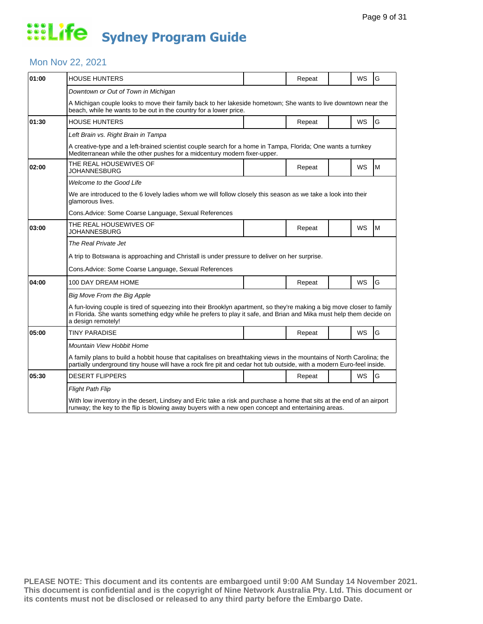#### Mon Nov 22, 2021

| 01:00 | <b>HOUSE HUNTERS</b>                                                                                                                                                                                                                                               |  | Repeat |  | WS        | G |  |  |
|-------|--------------------------------------------------------------------------------------------------------------------------------------------------------------------------------------------------------------------------------------------------------------------|--|--------|--|-----------|---|--|--|
|       | Downtown or Out of Town in Michigan                                                                                                                                                                                                                                |  |        |  |           |   |  |  |
|       | A Michigan couple looks to move their family back to her lakeside hometown; She wants to live downtown near the<br>beach, while he wants to be out in the country for a lower price.                                                                               |  |        |  |           |   |  |  |
| 01:30 | HOUSE HUNTERS                                                                                                                                                                                                                                                      |  | Repeat |  | WS        | G |  |  |
|       | Left Brain vs. Right Brain in Tampa                                                                                                                                                                                                                                |  |        |  |           |   |  |  |
|       | A creative-type and a left-brained scientist couple search for a home in Tampa, Florida; One wants a turnkey<br>Mediterranean while the other pushes for a midcentury modern fixer-upper.                                                                          |  |        |  |           |   |  |  |
| 02:00 | THE REAL HOUSEWIVES OF<br>JOHANNESBURG                                                                                                                                                                                                                             |  | Repeat |  | <b>WS</b> | M |  |  |
|       | Welcome to the Good Life                                                                                                                                                                                                                                           |  |        |  |           |   |  |  |
|       | We are introduced to the 6 lovely ladies whom we will follow closely this season as we take a look into their<br>glamorous lives.                                                                                                                                  |  |        |  |           |   |  |  |
|       | Cons. Advice: Some Coarse Language, Sexual References                                                                                                                                                                                                              |  |        |  |           |   |  |  |
| 03:00 | THE REAL HOUSEWIVES OF<br>JOHANNESBURG                                                                                                                                                                                                                             |  | Repeat |  | WS        | M |  |  |
|       | The Real Private Jet                                                                                                                                                                                                                                               |  |        |  |           |   |  |  |
|       | A trip to Botswana is approaching and Christall is under pressure to deliver on her surprise.                                                                                                                                                                      |  |        |  |           |   |  |  |
|       | Cons. Advice: Some Coarse Language, Sexual References                                                                                                                                                                                                              |  |        |  |           |   |  |  |
| 04:00 | 100 DAY DREAM HOME                                                                                                                                                                                                                                                 |  | Repeat |  | WS        | G |  |  |
|       | Big Move From the Big Apple                                                                                                                                                                                                                                        |  |        |  |           |   |  |  |
|       | A fun-loving couple is tired of squeezing into their Brooklyn apartment, so they're making a big move closer to family<br>in Florida. She wants something edgy while he prefers to play it safe, and Brian and Mika must help them decide on<br>a design remotely! |  |        |  |           |   |  |  |
| 05:00 | TINY PARADISE                                                                                                                                                                                                                                                      |  | Repeat |  | WS        | G |  |  |
|       | Mountain View Hobbit Home                                                                                                                                                                                                                                          |  |        |  |           |   |  |  |
|       | A family plans to build a hobbit house that capitalises on breathtaking views in the mountains of North Carolina; the<br>partially underground tiny house will have a rock fire pit and cedar hot tub outside, with a modern Euro-feel inside.                     |  |        |  |           |   |  |  |
| 05:30 | <b>DESERT FLIPPERS</b>                                                                                                                                                                                                                                             |  | Repeat |  | WS        | G |  |  |
|       | <b>Flight Path Flip</b>                                                                                                                                                                                                                                            |  |        |  |           |   |  |  |
|       | With low inventory in the desert, Lindsey and Eric take a risk and purchase a home that sits at the end of an airport<br>runway; the key to the flip is blowing away buyers with a new open concept and entertaining areas.                                        |  |        |  |           |   |  |  |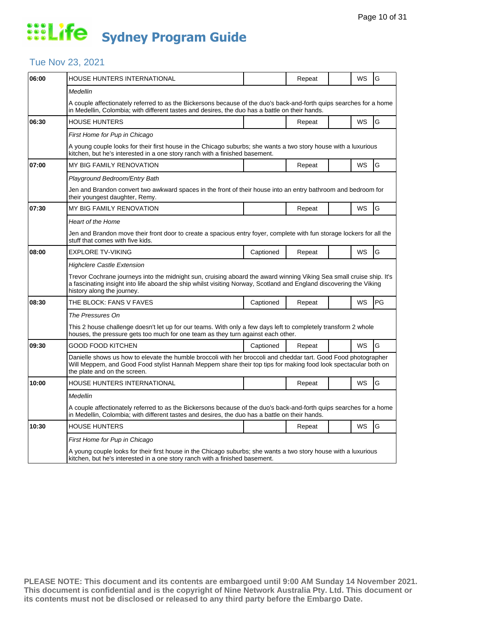### Tue Nov 23, 2021

| HOUSE HUNTERS INTERNATIONAL                                                                                                                                                                                                                                               |           | Repeat |                                                                                                | WS        | G                                                                                                                                                                                                                                            |  |  |  |
|---------------------------------------------------------------------------------------------------------------------------------------------------------------------------------------------------------------------------------------------------------------------------|-----------|--------|------------------------------------------------------------------------------------------------|-----------|----------------------------------------------------------------------------------------------------------------------------------------------------------------------------------------------------------------------------------------------|--|--|--|
| Medellin                                                                                                                                                                                                                                                                  |           |        |                                                                                                |           |                                                                                                                                                                                                                                              |  |  |  |
| A couple affectionately referred to as the Bickersons because of the duo's back-and-forth quips searches for a home<br>in Medellin, Colombia; with different tastes and desires, the duo has a battle on their hands.                                                     |           |        |                                                                                                |           |                                                                                                                                                                                                                                              |  |  |  |
| <b>HOUSE HUNTERS</b>                                                                                                                                                                                                                                                      |           | Repeat |                                                                                                | WS        | G                                                                                                                                                                                                                                            |  |  |  |
| First Home for Pup in Chicago                                                                                                                                                                                                                                             |           |        |                                                                                                |           |                                                                                                                                                                                                                                              |  |  |  |
| A young couple looks for their first house in the Chicago suburbs; she wants a two story house with a luxurious<br>kitchen, but he's interested in a one story ranch with a finished basement.                                                                            |           |        |                                                                                                |           |                                                                                                                                                                                                                                              |  |  |  |
| <b>MY BIG FAMILY RENOVATION</b>                                                                                                                                                                                                                                           |           | Repeat |                                                                                                | WS        | G                                                                                                                                                                                                                                            |  |  |  |
| Playground Bedroom/Entry Bath                                                                                                                                                                                                                                             |           |        |                                                                                                |           |                                                                                                                                                                                                                                              |  |  |  |
| Jen and Brandon convert two awkward spaces in the front of their house into an entry bathroom and bedroom for<br>their youngest daughter, Remy.                                                                                                                           |           |        |                                                                                                |           |                                                                                                                                                                                                                                              |  |  |  |
| MY BIG FAMILY RENOVATION                                                                                                                                                                                                                                                  |           | Repeat |                                                                                                | WS        | G                                                                                                                                                                                                                                            |  |  |  |
| <b>Heart of the Home</b>                                                                                                                                                                                                                                                  |           |        |                                                                                                |           |                                                                                                                                                                                                                                              |  |  |  |
| stuff that comes with five kids.                                                                                                                                                                                                                                          |           |        |                                                                                                |           |                                                                                                                                                                                                                                              |  |  |  |
| <b>EXPLORE TV-VIKING</b>                                                                                                                                                                                                                                                  | Captioned | Repeat |                                                                                                | WS        | G                                                                                                                                                                                                                                            |  |  |  |
| <b>Highclere Castle Extension</b>                                                                                                                                                                                                                                         |           |        |                                                                                                |           |                                                                                                                                                                                                                                              |  |  |  |
| Trevor Cochrane journeys into the midnight sun, cruising aboard the award winning Viking Sea small cruise ship. It's<br>a fascinating insight into life aboard the ship whilst visiting Norway, Scotland and England discovering the Viking<br>history along the journey. |           |        |                                                                                                |           |                                                                                                                                                                                                                                              |  |  |  |
| THE BLOCK: FANS V FAVES                                                                                                                                                                                                                                                   | Captioned | Repeat |                                                                                                | WS        | PG                                                                                                                                                                                                                                           |  |  |  |
| The Pressures On                                                                                                                                                                                                                                                          |           |        |                                                                                                |           |                                                                                                                                                                                                                                              |  |  |  |
| This 2 house challenge doesn't let up for our teams. With only a few days left to completely transform 2 whole<br>houses, the pressure gets too much for one team as they turn against each other.                                                                        |           |        |                                                                                                |           |                                                                                                                                                                                                                                              |  |  |  |
| GOOD FOOD KITCHEN                                                                                                                                                                                                                                                         | Captioned | Repeat |                                                                                                | WS        | G                                                                                                                                                                                                                                            |  |  |  |
| Danielle shows us how to elevate the humble broccoli with her broccoli and cheddar tart. Good Food photographer<br>Will Meppem, and Good Food stylist Hannah Meppem share their top tips for making food look spectacular both on<br>the plate and on the screen.         |           |        |                                                                                                |           |                                                                                                                                                                                                                                              |  |  |  |
| HOUSE HUNTERS INTERNATIONAL                                                                                                                                                                                                                                               |           | Repeat |                                                                                                | WS        | G                                                                                                                                                                                                                                            |  |  |  |
| Medellin                                                                                                                                                                                                                                                                  |           |        |                                                                                                |           |                                                                                                                                                                                                                                              |  |  |  |
|                                                                                                                                                                                                                                                                           |           |        |                                                                                                |           |                                                                                                                                                                                                                                              |  |  |  |
| HOUSE HUNTERS                                                                                                                                                                                                                                                             |           | Repeat |                                                                                                | <b>WS</b> | G                                                                                                                                                                                                                                            |  |  |  |
| First Home for Pup in Chicago                                                                                                                                                                                                                                             |           |        |                                                                                                |           |                                                                                                                                                                                                                                              |  |  |  |
| A young couple looks for their first house in the Chicago suburbs; she wants a two story house with a luxurious<br>kitchen, but he's interested in a one story ranch with a finished basement.                                                                            |           |        |                                                                                                |           |                                                                                                                                                                                                                                              |  |  |  |
|                                                                                                                                                                                                                                                                           |           |        | in Medellin, Colombia; with different tastes and desires, the duo has a battle on their hands. |           | Jen and Brandon move their front door to create a spacious entry foyer, complete with fun storage lockers for all the<br>A couple affectionately referred to as the Bickersons because of the duo's back-and-forth quips searches for a home |  |  |  |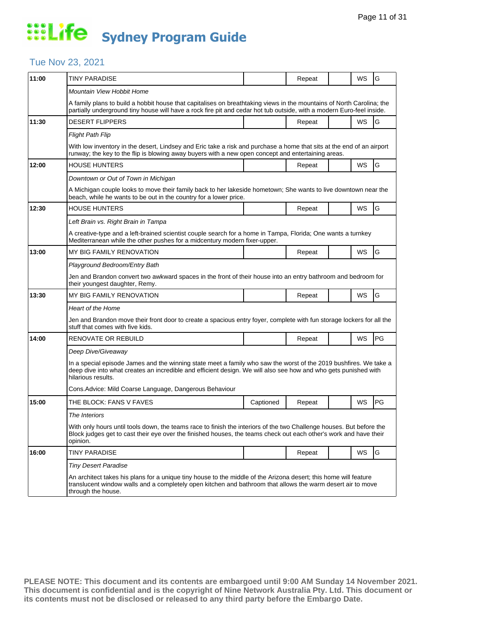### Tue Nov 23, 2021

| 11:00 | <b>TINY PARADISE</b>                                                                                                                                                                                                                                       |           | Repeat |  | WS | G  |  |  |  |
|-------|------------------------------------------------------------------------------------------------------------------------------------------------------------------------------------------------------------------------------------------------------------|-----------|--------|--|----|----|--|--|--|
|       | Mountain View Hobbit Home                                                                                                                                                                                                                                  |           |        |  |    |    |  |  |  |
|       | A family plans to build a hobbit house that capitalises on breathtaking views in the mountains of North Carolina; the<br>partially underground tiny house will have a rock fire pit and cedar hot tub outside, with a modern Euro-feel inside.             |           |        |  |    |    |  |  |  |
| 11:30 | <b>DESERT FLIPPERS</b>                                                                                                                                                                                                                                     |           | Repeat |  | WS | G  |  |  |  |
|       | <b>Flight Path Flip</b>                                                                                                                                                                                                                                    |           |        |  |    |    |  |  |  |
|       | With low inventory in the desert, Lindsey and Eric take a risk and purchase a home that sits at the end of an airport<br>runway; the key to the flip is blowing away buyers with a new open concept and entertaining areas.                                |           |        |  |    |    |  |  |  |
| 12:00 | <b>HOUSE HUNTERS</b>                                                                                                                                                                                                                                       |           | Repeat |  | WS | G  |  |  |  |
|       | Downtown or Out of Town in Michigan                                                                                                                                                                                                                        |           |        |  |    |    |  |  |  |
|       | A Michigan couple looks to move their family back to her lakeside hometown; She wants to live downtown near the<br>beach, while he wants to be out in the country for a lower price.                                                                       |           |        |  |    |    |  |  |  |
| 12:30 | <b>HOUSE HUNTERS</b>                                                                                                                                                                                                                                       |           | Repeat |  | WS | G  |  |  |  |
|       | Left Brain vs. Right Brain in Tampa                                                                                                                                                                                                                        |           |        |  |    |    |  |  |  |
|       | A creative-type and a left-brained scientist couple search for a home in Tampa, Florida; One wants a turnkey<br>Mediterranean while the other pushes for a midcentury modern fixer-upper.                                                                  |           |        |  |    |    |  |  |  |
| 13:00 | MY BIG FAMILY RENOVATION                                                                                                                                                                                                                                   |           | Repeat |  | WS | G  |  |  |  |
|       | Playground Bedroom/Entry Bath                                                                                                                                                                                                                              |           |        |  |    |    |  |  |  |
|       | Jen and Brandon convert two awkward spaces in the front of their house into an entry bathroom and bedroom for<br>their youngest daughter, Remy.                                                                                                            |           |        |  |    |    |  |  |  |
| 13:30 | MY BIG FAMILY RENOVATION                                                                                                                                                                                                                                   |           | Repeat |  | WS | G  |  |  |  |
|       | <b>Heart of the Home</b>                                                                                                                                                                                                                                   |           |        |  |    |    |  |  |  |
|       | Jen and Brandon move their front door to create a spacious entry foyer, complete with fun storage lockers for all the<br>stuff that comes with five kids.                                                                                                  |           |        |  |    |    |  |  |  |
| 14:00 | RENOVATE OR REBUILD                                                                                                                                                                                                                                        |           | Repeat |  | WS | PG |  |  |  |
|       | Deep Dive/Giveaway                                                                                                                                                                                                                                         |           |        |  |    |    |  |  |  |
|       | In a special episode James and the winning state meet a family who saw the worst of the 2019 bushfires. We take a<br>deep dive into what creates an incredible and efficient design. We will also see how and who gets punished with<br>hilarious results. |           |        |  |    |    |  |  |  |
|       | Cons.Advice: Mild Coarse Language, Dangerous Behaviour                                                                                                                                                                                                     |           |        |  |    |    |  |  |  |
| 15:00 | THE BLOCK: FANS V FAVES                                                                                                                                                                                                                                    | Captioned | Repeat |  | WS | PG |  |  |  |
|       | The Interiors                                                                                                                                                                                                                                              |           |        |  |    |    |  |  |  |
|       | With only hours until tools down, the teams race to finish the interiors of the two Challenge houses. But before the<br>Block judges get to cast their eye over the finished houses, the teams check out each other's work and have their<br>opinion.      |           |        |  |    |    |  |  |  |
| 16:00 | <b>TINY PARADISE</b>                                                                                                                                                                                                                                       |           | Repeat |  | WS | G  |  |  |  |
|       | <b>Tiny Desert Paradise</b>                                                                                                                                                                                                                                |           |        |  |    |    |  |  |  |
|       | An architect takes his plans for a unique tiny house to the middle of the Arizona desert; this home will feature<br>translucent window walls and a completely open kitchen and bathroom that allows the warm desert air to move<br>through the house.      |           |        |  |    |    |  |  |  |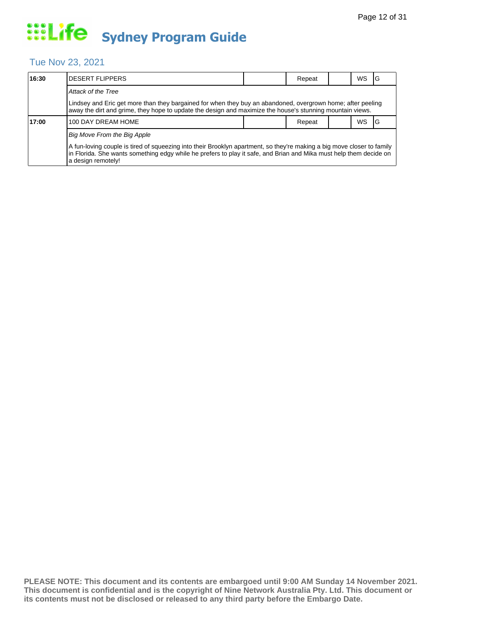### Tue Nov 23, 2021

| 16:30 | <b>DESERT FLIPPERS</b>                                                                                                                                                                                                                                             |        | Repeat |           | <b>WS</b> | IG |  |  |  |  |
|-------|--------------------------------------------------------------------------------------------------------------------------------------------------------------------------------------------------------------------------------------------------------------------|--------|--------|-----------|-----------|----|--|--|--|--|
|       | Attack of the Tree                                                                                                                                                                                                                                                 |        |        |           |           |    |  |  |  |  |
|       | Lindsey and Eric get more than they bargained for when they buy an abandoned, overgrown home; after peeling<br>away the dirt and grime, they hope to update the design and maximize the house's stunning mountain views.                                           |        |        |           |           |    |  |  |  |  |
| 17:00 | 100 DAY DREAM HOME                                                                                                                                                                                                                                                 | Repeat |        | <b>WS</b> |           |    |  |  |  |  |
|       | Big Move From the Big Apple                                                                                                                                                                                                                                        |        |        |           |           |    |  |  |  |  |
|       | A fun-loving couple is tired of squeezing into their Brooklyn apartment, so they're making a big move closer to family<br>in Florida. She wants something edgy while he prefers to play it safe, and Brian and Mika must help them decide on<br>a design remotely! |        |        |           |           |    |  |  |  |  |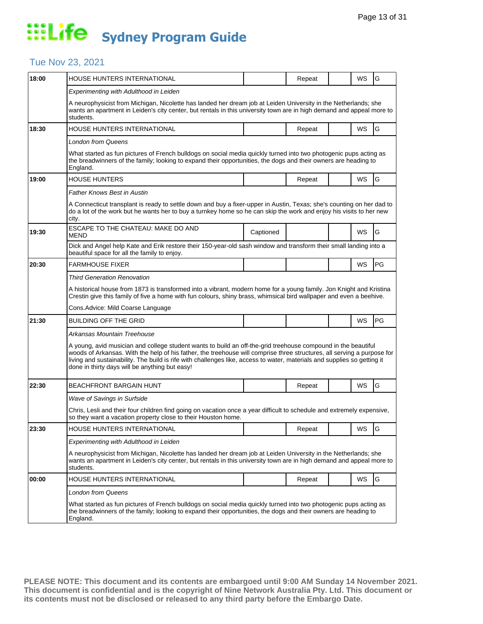### Tue Nov 23, 2021

| 18:00 | HOUSE HUNTERS INTERNATIONAL                                                                                                                                                                                                                                                                                                                                                                                            |           | Repeat |  | WS | G  |  |  |
|-------|------------------------------------------------------------------------------------------------------------------------------------------------------------------------------------------------------------------------------------------------------------------------------------------------------------------------------------------------------------------------------------------------------------------------|-----------|--------|--|----|----|--|--|
|       | Experimenting with Adulthood in Leiden                                                                                                                                                                                                                                                                                                                                                                                 |           |        |  |    |    |  |  |
|       | A neurophysicist from Michigan, Nicolette has landed her dream job at Leiden University in the Netherlands; she<br>wants an apartment in Leiden's city center, but rentals in this university town are in high demand and appeal more to<br>students.                                                                                                                                                                  |           |        |  |    |    |  |  |
| 18:30 | HOUSE HUNTERS INTERNATIONAL                                                                                                                                                                                                                                                                                                                                                                                            |           | Repeat |  | WS | G  |  |  |
|       | London from Queens                                                                                                                                                                                                                                                                                                                                                                                                     |           |        |  |    |    |  |  |
|       | What started as fun pictures of French bulldogs on social media quickly turned into two photogenic pups acting as<br>the breadwinners of the family; looking to expand their opportunities, the dogs and their owners are heading to<br>England.                                                                                                                                                                       |           |        |  |    |    |  |  |
| 19:00 | <b>HOUSE HUNTERS</b>                                                                                                                                                                                                                                                                                                                                                                                                   |           | Repeat |  | WS | G  |  |  |
|       | Father Knows Best in Austin                                                                                                                                                                                                                                                                                                                                                                                            |           |        |  |    |    |  |  |
|       | A Connecticut transplant is ready to settle down and buy a fixer-upper in Austin, Texas; she's counting on her dad to<br>do a lot of the work but he wants her to buy a turnkey home so he can skip the work and enjoy his visits to her new<br>city.                                                                                                                                                                  |           |        |  |    |    |  |  |
| 19:30 | ESCAPE TO THE CHATEAU: MAKE DO AND<br><b>MEND</b>                                                                                                                                                                                                                                                                                                                                                                      | Captioned |        |  | WS | G  |  |  |
|       | Dick and Angel help Kate and Erik restore their 150-year-old sash window and transform their small landing into a<br>beautiful space for all the family to enjoy.                                                                                                                                                                                                                                                      |           |        |  |    |    |  |  |
| 20:30 | FARMHOUSE FIXER                                                                                                                                                                                                                                                                                                                                                                                                        |           |        |  | WS | PG |  |  |
|       | <b>Third Generation Renovation</b>                                                                                                                                                                                                                                                                                                                                                                                     |           |        |  |    |    |  |  |
|       | A historical house from 1873 is transformed into a vibrant, modern home for a young family. Jon Knight and Kristina<br>Crestin give this family of five a home with fun colours, shiny brass, whimsical bird wallpaper and even a beehive.                                                                                                                                                                             |           |        |  |    |    |  |  |
|       | Cons. Advice: Mild Coarse Language                                                                                                                                                                                                                                                                                                                                                                                     |           |        |  |    |    |  |  |
| 21:30 | <b>BUILDING OFF THE GRID</b>                                                                                                                                                                                                                                                                                                                                                                                           |           |        |  | WS | PG |  |  |
|       | Arkansas Mountain Treehouse                                                                                                                                                                                                                                                                                                                                                                                            |           |        |  |    |    |  |  |
|       | A young, avid musician and college student wants to build an off-the-grid treehouse compound in the beautiful<br>woods of Arkansas. With the help of his father, the treehouse will comprise three structures, all serving a purpose for<br>living and sustainability. The build is rife with challenges like, access to water, materials and supplies so getting it<br>done in thirty days will be anything but easy! |           |        |  |    |    |  |  |
| 22:30 | <b>BEACHFRONT BARGAIN HUNT</b>                                                                                                                                                                                                                                                                                                                                                                                         |           | Repeat |  | WS | G  |  |  |
|       | Wave of Savings in Surfside                                                                                                                                                                                                                                                                                                                                                                                            |           |        |  |    |    |  |  |
|       | Chris, Lesli and their four children find going on vacation once a year difficult to schedule and extremely expensive,<br>so they want a vacation property close to their Houston home.                                                                                                                                                                                                                                |           |        |  |    |    |  |  |
| 23:30 | HOUSE HUNTERS INTERNATIONAL                                                                                                                                                                                                                                                                                                                                                                                            |           | Repeat |  | WS | G  |  |  |
|       | Experimenting with Adulthood in Leiden                                                                                                                                                                                                                                                                                                                                                                                 |           |        |  |    |    |  |  |
|       | A neurophysicist from Michigan, Nicolette has landed her dream job at Leiden University in the Netherlands; she<br>wants an apartment in Leiden's city center, but rentals in this university town are in high demand and appeal more to<br>students.                                                                                                                                                                  |           |        |  |    |    |  |  |
| 00:00 | HOUSE HUNTERS INTERNATIONAL                                                                                                                                                                                                                                                                                                                                                                                            |           | Repeat |  | WS | G  |  |  |
|       | London from Queens                                                                                                                                                                                                                                                                                                                                                                                                     |           |        |  |    |    |  |  |
|       | What started as fun pictures of French bulldogs on social media quickly turned into two photogenic pups acting as<br>the breadwinners of the family; looking to expand their opportunities, the dogs and their owners are heading to<br>England.                                                                                                                                                                       |           |        |  |    |    |  |  |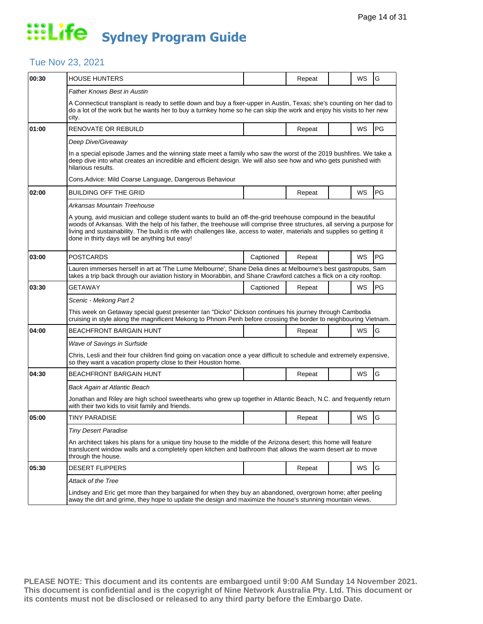### Tue Nov 23, 2021

| 00:30 | <b>HOUSE HUNTERS</b>                                                                                                                                                                                                                                                                                                                                                                                                   |           | Repeat |  | WS | G         |  |  |  |
|-------|------------------------------------------------------------------------------------------------------------------------------------------------------------------------------------------------------------------------------------------------------------------------------------------------------------------------------------------------------------------------------------------------------------------------|-----------|--------|--|----|-----------|--|--|--|
|       | Father Knows Best in Austin                                                                                                                                                                                                                                                                                                                                                                                            |           |        |  |    |           |  |  |  |
|       | A Connecticut transplant is ready to settle down and buy a fixer-upper in Austin, Texas; she's counting on her dad to<br>do a lot of the work but he wants her to buy a turnkey home so he can skip the work and enjoy his visits to her new<br>city.                                                                                                                                                                  |           |        |  |    |           |  |  |  |
| 01:00 | RENOVATE OR REBUILD                                                                                                                                                                                                                                                                                                                                                                                                    |           | Repeat |  | WS | PG        |  |  |  |
|       | Deep Dive/Giveaway                                                                                                                                                                                                                                                                                                                                                                                                     |           |        |  |    |           |  |  |  |
|       | In a special episode James and the winning state meet a family who saw the worst of the 2019 bushfires. We take a<br>deep dive into what creates an incredible and efficient design. We will also see how and who gets punished with<br>hilarious results.                                                                                                                                                             |           |        |  |    |           |  |  |  |
|       | Cons. Advice: Mild Coarse Language, Dangerous Behaviour                                                                                                                                                                                                                                                                                                                                                                |           |        |  |    |           |  |  |  |
| 02:00 | BUILDING OFF THE GRID                                                                                                                                                                                                                                                                                                                                                                                                  |           | Repeat |  | WS | <b>PG</b> |  |  |  |
|       | Arkansas Mountain Treehouse                                                                                                                                                                                                                                                                                                                                                                                            |           |        |  |    |           |  |  |  |
|       | A young, avid musician and college student wants to build an off-the-grid treehouse compound in the beautiful<br>woods of Arkansas. With the help of his father, the treehouse will comprise three structures, all serving a purpose for<br>living and sustainability. The build is rife with challenges like, access to water, materials and supplies so getting it<br>done in thirty days will be anything but easy! |           |        |  |    |           |  |  |  |
| 03:00 | <b>POSTCARDS</b>                                                                                                                                                                                                                                                                                                                                                                                                       | Captioned | Repeat |  | WS | PG        |  |  |  |
|       | Lauren immerses herself in art at 'The Lume Melbourne', Shane Delia dines at Melbourne's best gastropubs, Sam<br>takes a trip back through our aviation history in Moorabbin, and Shane Crawford catches a flick on a city rooftop.                                                                                                                                                                                    |           |        |  |    |           |  |  |  |
| 03:30 | GETAWAY                                                                                                                                                                                                                                                                                                                                                                                                                | Captioned | Repeat |  | WS | PG        |  |  |  |
|       | Scenic - Mekong Part 2                                                                                                                                                                                                                                                                                                                                                                                                 |           |        |  |    |           |  |  |  |
|       | This week on Getaway special guest presenter Ian "Dicko" Dickson continues his journey through Cambodia<br>cruising in style along the magnificent Mekong to Phnom Penh before crossing the border to neighbouring Vietnam.                                                                                                                                                                                            |           |        |  |    |           |  |  |  |
| 04:00 | <b>BEACHFRONT BARGAIN HUNT</b>                                                                                                                                                                                                                                                                                                                                                                                         |           | Repeat |  | WS | G         |  |  |  |
|       | <b>Wave of Savings in Surfside</b>                                                                                                                                                                                                                                                                                                                                                                                     |           |        |  |    |           |  |  |  |
|       | Chris, Lesli and their four children find going on vacation once a year difficult to schedule and extremely expensive,<br>so they want a vacation property close to their Houston home.                                                                                                                                                                                                                                |           |        |  |    |           |  |  |  |
| 04:30 | <b>BEACHFRONT BARGAIN HUNT</b>                                                                                                                                                                                                                                                                                                                                                                                         |           | Repeat |  | WS | G         |  |  |  |
|       | Back Again at Atlantic Beach                                                                                                                                                                                                                                                                                                                                                                                           |           |        |  |    |           |  |  |  |
|       | Jonathan and Riley are high school sweethearts who grew up together in Atlantic Beach, N.C. and frequently return<br>with their two kids to visit family and friends.                                                                                                                                                                                                                                                  |           |        |  |    |           |  |  |  |
| 05:00 | <b>TINY PARADISE</b>                                                                                                                                                                                                                                                                                                                                                                                                   |           | Repeat |  | WS | G         |  |  |  |
|       | <b>Tiny Desert Paradise</b>                                                                                                                                                                                                                                                                                                                                                                                            |           |        |  |    |           |  |  |  |
|       | An architect takes his plans for a unique tiny house to the middle of the Arizona desert; this home will feature<br>translucent window walls and a completely open kitchen and bathroom that allows the warm desert air to move<br>through the house.                                                                                                                                                                  |           |        |  |    |           |  |  |  |
| 05:30 | <b>DESERT FLIPPERS</b>                                                                                                                                                                                                                                                                                                                                                                                                 |           | Repeat |  | WS | G         |  |  |  |
|       | Attack of the Tree                                                                                                                                                                                                                                                                                                                                                                                                     |           |        |  |    |           |  |  |  |
|       | Lindsey and Eric get more than they bargained for when they buy an abandoned, overgrown home; after peeling<br>away the dirt and grime, they hope to update the design and maximize the house's stunning mountain views.                                                                                                                                                                                               |           |        |  |    |           |  |  |  |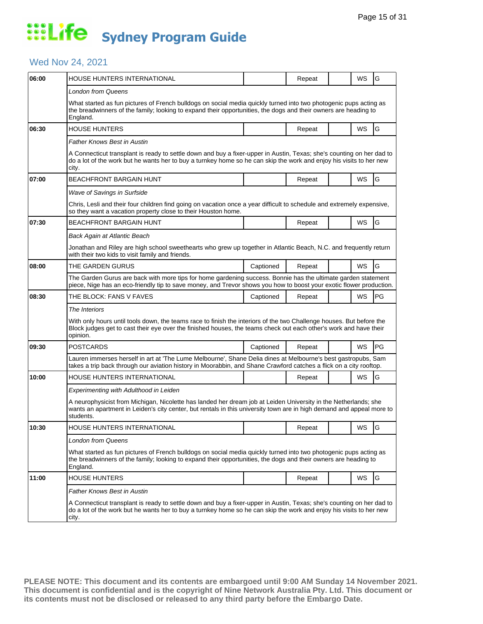### Wed Nov 24, 2021

| 06:00 | HOUSE HUNTERS INTERNATIONAL                                                                                                                                                                                                                           |           | Repeat |  | WS        | G             |  |  |
|-------|-------------------------------------------------------------------------------------------------------------------------------------------------------------------------------------------------------------------------------------------------------|-----------|--------|--|-----------|---------------|--|--|
|       | <b>London from Queens</b>                                                                                                                                                                                                                             |           |        |  |           |               |  |  |
|       | What started as fun pictures of French bulldogs on social media quickly turned into two photogenic pups acting as<br>the breadwinners of the family; looking to expand their opportunities, the dogs and their owners are heading to<br>England.      |           |        |  |           |               |  |  |
| 06:30 | <b>HOUSE HUNTERS</b>                                                                                                                                                                                                                                  |           | Repeat |  | <b>WS</b> | G             |  |  |
|       | Father Knows Best in Austin                                                                                                                                                                                                                           |           |        |  |           |               |  |  |
|       | A Connecticut transplant is ready to settle down and buy a fixer-upper in Austin, Texas; she's counting on her dad to<br>do a lot of the work but he wants her to buy a turnkey home so he can skip the work and enjoy his visits to her new<br>city. |           |        |  |           |               |  |  |
| 07:00 | BEACHFRONT BARGAIN HUNT                                                                                                                                                                                                                               |           | Repeat |  | WS        | G             |  |  |
|       | <b>Wave of Savings in Surfside</b>                                                                                                                                                                                                                    |           |        |  |           |               |  |  |
|       | Chris, Lesli and their four children find going on vacation once a year difficult to schedule and extremely expensive,<br>so they want a vacation property close to their Houston home.                                                               |           |        |  |           |               |  |  |
| 07:30 | BEACHFRONT BARGAIN HUNT                                                                                                                                                                                                                               |           | Repeat |  | WS        | G             |  |  |
|       | Back Again at Atlantic Beach                                                                                                                                                                                                                          |           |        |  |           |               |  |  |
|       | Jonathan and Riley are high school sweethearts who grew up together in Atlantic Beach, N.C. and frequently return<br>with their two kids to visit family and friends.                                                                                 |           |        |  |           |               |  |  |
| 08:00 | THE GARDEN GURUS                                                                                                                                                                                                                                      | Captioned | Repeat |  | WS        | G             |  |  |
|       | The Garden Gurus are back with more tips for home gardening success. Bonnie has the ultimate garden statement<br>piece, Nige has an eco-friendly tip to save money, and Trevor shows you how to boost your exotic flower production.                  |           |        |  |           |               |  |  |
| 08:30 | THE BLOCK: FANS V FAVES                                                                                                                                                                                                                               | Captioned | Repeat |  | WS        | <b>PG</b>     |  |  |
|       | The Interiors                                                                                                                                                                                                                                         |           |        |  |           |               |  |  |
|       | With only hours until tools down, the teams race to finish the interiors of the two Challenge houses. But before the<br>Block judges get to cast their eye over the finished houses, the teams check out each other's work and have their<br>opinion. |           |        |  |           |               |  |  |
| 09:30 | <b>POSTCARDS</b>                                                                                                                                                                                                                                      | Captioned | Repeat |  | WS        | PG            |  |  |
|       | Lauren immerses herself in art at 'The Lume Melbourne', Shane Delia dines at Melbourne's best gastropubs, Sam<br>takes a trip back through our aviation history in Moorabbin, and Shane Crawford catches a flick on a city rooftop.                   |           |        |  |           |               |  |  |
| 10:00 | HOUSE HUNTERS INTERNATIONAL                                                                                                                                                                                                                           |           | Repeat |  | WS        | G             |  |  |
|       | Experimenting with Adulthood in Leiden                                                                                                                                                                                                                |           |        |  |           |               |  |  |
|       | A neurophysicist from Michigan, Nicolette has landed her dream job at Leiden University in the Netherlands; she<br>wants an apartment in Leiden's city center, but rentals in this university town are in high demand and appeal more to<br>students. |           |        |  |           |               |  |  |
| 10:30 | HOUSE HUNTERS INTERNATIONAL                                                                                                                                                                                                                           |           | Repeat |  | WS        | ΙG            |  |  |
|       | <b>London from Queens</b>                                                                                                                                                                                                                             |           |        |  |           |               |  |  |
|       | What started as fun pictures of French bulldogs on social media quickly turned into two photogenic pups acting as<br>the breadwinners of the family; looking to expand their opportunities, the dogs and their owners are heading to<br>England.      |           |        |  |           |               |  |  |
| 11:00 | <b>HOUSE HUNTERS</b>                                                                                                                                                                                                                                  |           | Repeat |  | WS        | ${\mathsf G}$ |  |  |
|       | Father Knows Best in Austin                                                                                                                                                                                                                           |           |        |  |           |               |  |  |
|       | A Connecticut transplant is ready to settle down and buy a fixer-upper in Austin, Texas; she's counting on her dad to<br>do a lot of the work but he wants her to buy a turnkey home so he can skip the work and enjoy his visits to her new<br>city. |           |        |  |           |               |  |  |
|       |                                                                                                                                                                                                                                                       |           |        |  |           |               |  |  |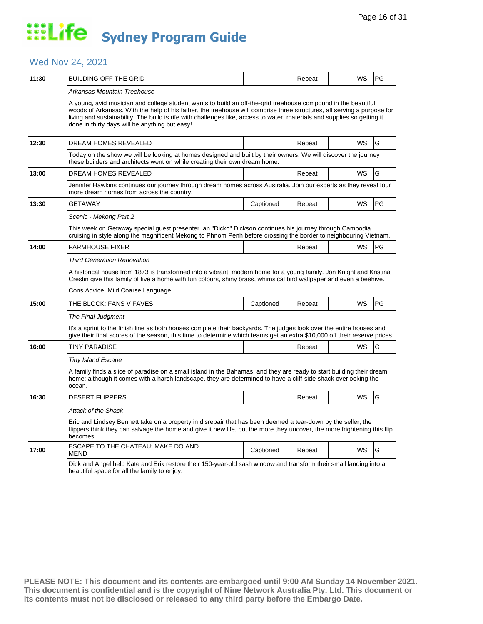### Wed Nov 24, 2021

| 11:30 | BUILDING OFF THE GRID                                                                                                                                                                                                                                                                                                                                                                                                  |           | Repeat |  | <b>WS</b> | PG |  |  |
|-------|------------------------------------------------------------------------------------------------------------------------------------------------------------------------------------------------------------------------------------------------------------------------------------------------------------------------------------------------------------------------------------------------------------------------|-----------|--------|--|-----------|----|--|--|
|       | Arkansas Mountain Treehouse                                                                                                                                                                                                                                                                                                                                                                                            |           |        |  |           |    |  |  |
|       | A young, avid musician and college student wants to build an off-the-grid treehouse compound in the beautiful<br>woods of Arkansas. With the help of his father, the treehouse will comprise three structures, all serving a purpose for<br>living and sustainability. The build is rife with challenges like, access to water, materials and supplies so getting it<br>done in thirty days will be anything but easy! |           |        |  |           |    |  |  |
| 12:30 | DREAM HOMES REVEALED                                                                                                                                                                                                                                                                                                                                                                                                   |           | Repeat |  | <b>WS</b> | G  |  |  |
|       | Today on the show we will be looking at homes designed and built by their owners. We will discover the journey<br>these builders and architects went on while creating their own dream home.                                                                                                                                                                                                                           |           |        |  |           |    |  |  |
| 13:00 | DREAM HOMES REVEALED                                                                                                                                                                                                                                                                                                                                                                                                   |           | Repeat |  | WS        | G  |  |  |
|       | Jennifer Hawkins continues our journey through dream homes across Australia. Join our experts as they reveal four<br>more dream homes from across the country.                                                                                                                                                                                                                                                         |           |        |  |           |    |  |  |
| 13:30 | <b>GETAWAY</b>                                                                                                                                                                                                                                                                                                                                                                                                         | Captioned | Repeat |  | WS        | PG |  |  |
|       | Scenic - Mekong Part 2                                                                                                                                                                                                                                                                                                                                                                                                 |           |        |  |           |    |  |  |
|       | This week on Getaway special guest presenter Ian "Dicko" Dickson continues his journey through Cambodia<br>cruising in style along the magnificent Mekong to Phnom Penh before crossing the border to neighbouring Vietnam.                                                                                                                                                                                            |           |        |  |           |    |  |  |
| 14:00 | <b>FARMHOUSE FIXER</b>                                                                                                                                                                                                                                                                                                                                                                                                 |           | Repeat |  | WS        | PG |  |  |
|       | <b>Third Generation Renovation</b>                                                                                                                                                                                                                                                                                                                                                                                     |           |        |  |           |    |  |  |
|       | A historical house from 1873 is transformed into a vibrant, modern home for a young family. Jon Knight and Kristina<br>Crestin give this family of five a home with fun colours, shiny brass, whimsical bird wallpaper and even a beehive.                                                                                                                                                                             |           |        |  |           |    |  |  |
|       | Cons.Advice: Mild Coarse Language                                                                                                                                                                                                                                                                                                                                                                                      |           |        |  |           |    |  |  |
| 15:00 | THE BLOCK: FANS V FAVES                                                                                                                                                                                                                                                                                                                                                                                                | Captioned | Repeat |  | WS        | PG |  |  |
|       | The Final Judgment                                                                                                                                                                                                                                                                                                                                                                                                     |           |        |  |           |    |  |  |
|       | It's a sprint to the finish line as both houses complete their backyards. The judges look over the entire houses and<br>give their final scores of the season, this time to determine which teams get an extra \$10,000 off their reserve prices.                                                                                                                                                                      |           |        |  |           |    |  |  |
| 16:00 | TINY PARADISE                                                                                                                                                                                                                                                                                                                                                                                                          |           | Repeat |  | WS        | G  |  |  |
|       | <b>Tiny Island Escape</b>                                                                                                                                                                                                                                                                                                                                                                                              |           |        |  |           |    |  |  |
|       | A family finds a slice of paradise on a small island in the Bahamas, and they are ready to start building their dream<br>home; although it comes with a harsh landscape, they are determined to have a cliff-side shack overlooking the<br>ocean.                                                                                                                                                                      |           |        |  |           |    |  |  |
| 16:30 | <b>DESERT FLIPPERS</b>                                                                                                                                                                                                                                                                                                                                                                                                 |           | Repeat |  | WS        | G  |  |  |
|       | Attack of the Shack                                                                                                                                                                                                                                                                                                                                                                                                    |           |        |  |           |    |  |  |
|       | Eric and Lindsey Bennett take on a property in disrepair that has been deemed a tear-down by the seller; the<br>flippers think they can salvage the home and give it new life, but the more they uncover, the more frightening this flip<br>becomes.                                                                                                                                                                   |           |        |  |           |    |  |  |
| 17:00 | ESCAPE TO THE CHATEAU: MAKE DO AND<br>MEND                                                                                                                                                                                                                                                                                                                                                                             | Captioned | Repeat |  | <b>WS</b> | G  |  |  |
|       | Dick and Angel help Kate and Erik restore their 150-year-old sash window and transform their small landing into a<br>beautiful space for all the family to enjoy.                                                                                                                                                                                                                                                      |           |        |  |           |    |  |  |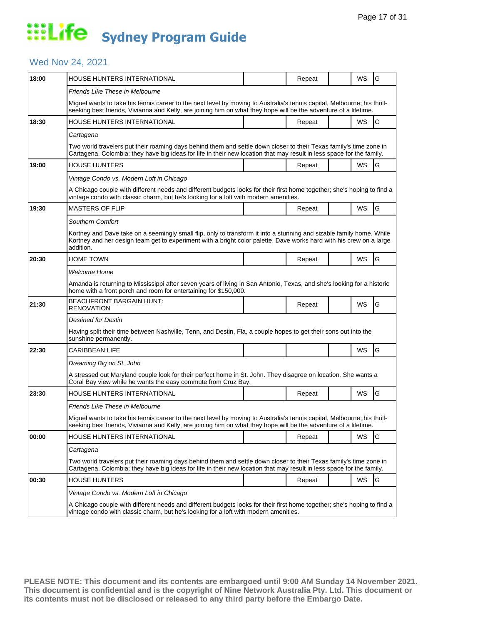### Wed Nov 24, 2021

| 18:00 | HOUSE HUNTERS INTERNATIONAL                                                                                                                                                                                                                              |  | Repeat |  | WS        | G |  |  |
|-------|----------------------------------------------------------------------------------------------------------------------------------------------------------------------------------------------------------------------------------------------------------|--|--------|--|-----------|---|--|--|
|       | Friends Like These in Melbourne                                                                                                                                                                                                                          |  |        |  |           |   |  |  |
|       | Miguel wants to take his tennis career to the next level by moving to Australia's tennis capital, Melbourne; his thrill-<br>seeking best friends, Vivianna and Kelly, are joining him on what they hope will be the adventure of a lifetime.             |  |        |  |           |   |  |  |
| 18:30 | HOUSE HUNTERS INTERNATIONAL                                                                                                                                                                                                                              |  | Repeat |  | WS        | G |  |  |
|       | Cartagena                                                                                                                                                                                                                                                |  |        |  |           |   |  |  |
|       | Two world travelers put their roaming days behind them and settle down closer to their Texas family's time zone in<br>Cartagena, Colombia; they have big ideas for life in their new location that may result in less space for the family.              |  |        |  |           |   |  |  |
| 19:00 | HOUSE HUNTERS                                                                                                                                                                                                                                            |  | Repeat |  | WS        | G |  |  |
|       | Vintage Condo vs. Modern Loft in Chicago                                                                                                                                                                                                                 |  |        |  |           |   |  |  |
|       | A Chicago couple with different needs and different budgets looks for their first home together; she's hoping to find a<br>vintage condo with classic charm, but he's looking for a loft with modern amenities.                                          |  |        |  |           |   |  |  |
| 19:30 | MASTERS OF FLIP                                                                                                                                                                                                                                          |  | Repeat |  | WS        | G |  |  |
|       | <b>Southern Comfort</b>                                                                                                                                                                                                                                  |  |        |  |           |   |  |  |
|       | Kortney and Dave take on a seemingly small flip, only to transform it into a stunning and sizable family home. While<br>Kortney and her design team get to experiment with a bright color palette, Dave works hard with his crew on a large<br>addition. |  |        |  |           |   |  |  |
| 20:30 | HOME TOWN                                                                                                                                                                                                                                                |  | Repeat |  | WS        | G |  |  |
|       | Welcome Home                                                                                                                                                                                                                                             |  |        |  |           |   |  |  |
|       | Amanda is returning to Mississippi after seven years of living in San Antonio, Texas, and she's looking for a historic<br>home with a front porch and room for entertaining for \$150,000.                                                               |  |        |  |           |   |  |  |
| 21:30 | BEACHFRONT BARGAIN HUNT:<br>RENOVATION                                                                                                                                                                                                                   |  | Repeat |  | WS        | G |  |  |
|       | Destined for Destin                                                                                                                                                                                                                                      |  |        |  |           |   |  |  |
|       | Having split their time between Nashville, Tenn, and Destin, Fla, a couple hopes to get their sons out into the<br>sunshine permanently.                                                                                                                 |  |        |  |           |   |  |  |
| 22:30 | CARIBBEAN LIFE                                                                                                                                                                                                                                           |  |        |  | WS        | G |  |  |
|       | Dreaming Big on St. John                                                                                                                                                                                                                                 |  |        |  |           |   |  |  |
|       | A stressed out Maryland couple look for their perfect home in St. John. They disagree on location. She wants a<br>Coral Bay view while he wants the easy commute from Cruz Bay.                                                                          |  |        |  |           |   |  |  |
| 23:30 | HOUSE HUNTERS INTERNATIONAL                                                                                                                                                                                                                              |  | Repeat |  | WS        | G |  |  |
|       | Friends Like These in Melbourne                                                                                                                                                                                                                          |  |        |  |           |   |  |  |
|       | Miguel wants to take his tennis career to the next level by moving to Australia's tennis capital, Melbourne; his thrill-<br>seeking best friends, Vivianna and Kelly, are joining him on what they hope will be the adventure of a lifetime.             |  |        |  |           |   |  |  |
| 00:00 | HOUSE HUNTERS INTERNATIONAL                                                                                                                                                                                                                              |  | Repeat |  | <b>WS</b> | G |  |  |
|       | Cartagena                                                                                                                                                                                                                                                |  |        |  |           |   |  |  |
|       | Two world travelers put their roaming days behind them and settle down closer to their Texas family's time zone in<br>Cartagena, Colombia; they have big ideas for life in their new location that may result in less space for the family.              |  |        |  |           |   |  |  |
| 00:30 | <b>HOUSE HUNTERS</b>                                                                                                                                                                                                                                     |  | Repeat |  | WS        | G |  |  |
|       | Vintage Condo vs. Modern Loft in Chicago                                                                                                                                                                                                                 |  |        |  |           |   |  |  |
|       | A Chicago couple with different needs and different budgets looks for their first home together; she's hoping to find a<br>vintage condo with classic charm, but he's looking for a loft with modern amenities.                                          |  |        |  |           |   |  |  |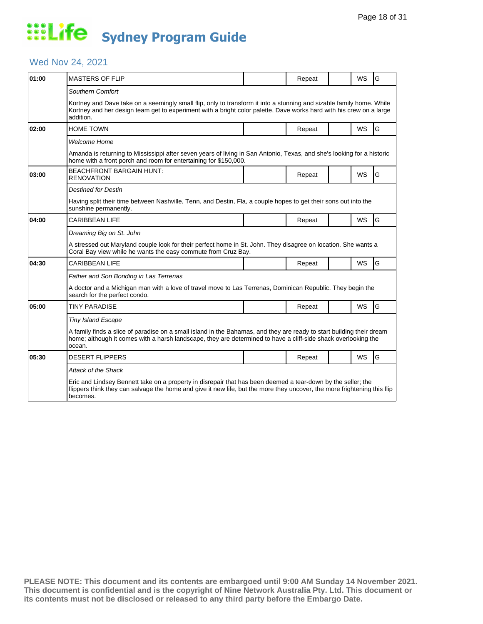### Wed Nov 24, 2021

| 01:00 | <b>MASTERS OF FLIP</b>                                                                                                                                                                                                                                                         |  | Repeat |  | <b>WS</b> | G |  |  |
|-------|--------------------------------------------------------------------------------------------------------------------------------------------------------------------------------------------------------------------------------------------------------------------------------|--|--------|--|-----------|---|--|--|
|       | Southern Comfort<br>Kortney and Dave take on a seemingly small flip, only to transform it into a stunning and sizable family home. While<br>Kortney and her design team get to experiment with a bright color palette, Dave works hard with his crew on a large<br>addition.   |  |        |  |           |   |  |  |
| 02:00 | HOME TOWN                                                                                                                                                                                                                                                                      |  | Repeat |  | WS        | G |  |  |
|       | Welcome Home<br>Amanda is returning to Mississippi after seven years of living in San Antonio, Texas, and she's looking for a historic<br>home with a front porch and room for entertaining for \$150,000.                                                                     |  |        |  |           |   |  |  |
| 03:00 | <b>BEACHFRONT BARGAIN HUNT:</b><br>RENOVATION                                                                                                                                                                                                                                  |  | Repeat |  | WS        | G |  |  |
|       | Destined for Destin<br>Having split their time between Nashville, Tenn, and Destin, Fla, a couple hopes to get their sons out into the<br>sunshine permanently.                                                                                                                |  |        |  |           |   |  |  |
| 04:00 | <b>CARIBBEAN LIFE</b>                                                                                                                                                                                                                                                          |  | Repeat |  | <b>WS</b> | G |  |  |
|       | Dreaming Big on St. John<br>A stressed out Maryland couple look for their perfect home in St. John. They disagree on location. She wants a<br>Coral Bay view while he wants the easy commute from Cruz Bay.                                                                    |  |        |  |           |   |  |  |
| 04:30 | CARIBBEAN LIFE                                                                                                                                                                                                                                                                 |  | Repeat |  | <b>WS</b> | G |  |  |
|       | Father and Son Bonding in Las Terrenas<br>A doctor and a Michigan man with a love of travel move to Las Terrenas, Dominican Republic. They begin the<br>search for the perfect condo.                                                                                          |  |        |  |           |   |  |  |
| 05:00 | <b>TINY PARADISE</b>                                                                                                                                                                                                                                                           |  | Repeat |  | <b>WS</b> | G |  |  |
|       | <b>Tiny Island Escape</b><br>A family finds a slice of paradise on a small island in the Bahamas, and they are ready to start building their dream<br>home; although it comes with a harsh landscape, they are determined to have a cliff-side shack overlooking the<br>ocean. |  |        |  |           |   |  |  |
| 05:30 | <b>DESERT FLIPPERS</b>                                                                                                                                                                                                                                                         |  | Repeat |  | <b>WS</b> | G |  |  |
|       | Attack of the Shack<br>Eric and Lindsey Bennett take on a property in disrepair that has been deemed a tear-down by the seller; the<br>flippers think they can salvage the home and give it new life, but the more they uncover, the more frightening this flip<br>becomes.    |  |        |  |           |   |  |  |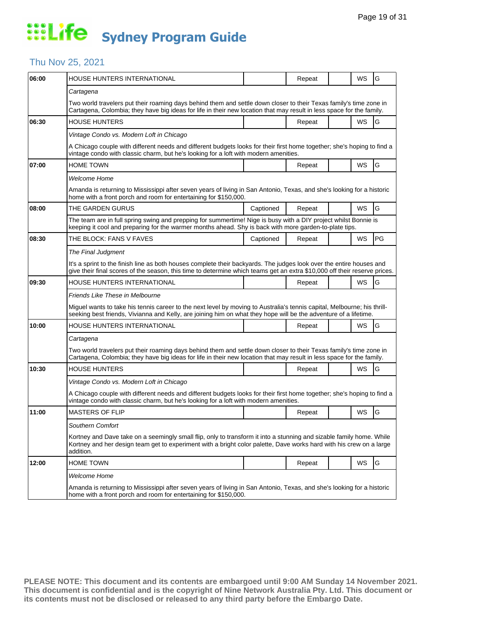### Thu Nov 25, 2021

| 06:00 | HOUSE HUNTERS INTERNATIONAL                                                                                                                                                                                                                              |           | Repeat |  | WS        | G  |  |  |  |
|-------|----------------------------------------------------------------------------------------------------------------------------------------------------------------------------------------------------------------------------------------------------------|-----------|--------|--|-----------|----|--|--|--|
|       | Cartagena                                                                                                                                                                                                                                                |           |        |  |           |    |  |  |  |
|       | Two world travelers put their roaming days behind them and settle down closer to their Texas family's time zone in<br>Cartagena, Colombia; they have big ideas for life in their new location that may result in less space for the family.              |           |        |  |           |    |  |  |  |
| 06:30 | <b>HOUSE HUNTERS</b>                                                                                                                                                                                                                                     |           | Repeat |  | WS        | G  |  |  |  |
|       | Vintage Condo vs. Modern Loft in Chicago                                                                                                                                                                                                                 |           |        |  |           |    |  |  |  |
|       | A Chicago couple with different needs and different budgets looks for their first home together; she's hoping to find a<br>vintage condo with classic charm, but he's looking for a loft with modern amenities.                                          |           |        |  |           |    |  |  |  |
| 07:00 | HOME TOWN                                                                                                                                                                                                                                                |           | Repeat |  | WS        | G  |  |  |  |
|       | Welcome Home                                                                                                                                                                                                                                             |           |        |  |           |    |  |  |  |
|       | Amanda is returning to Mississippi after seven years of living in San Antonio, Texas, and she's looking for a historic<br>home with a front porch and room for entertaining for \$150,000.                                                               |           |        |  |           |    |  |  |  |
| 08:00 | THE GARDEN GURUS                                                                                                                                                                                                                                         | Captioned | Repeat |  | <b>WS</b> | G  |  |  |  |
|       | The team are in full spring swing and prepping for summertime! Nige is busy with a DIY project whilst Bonnie is<br>keeping it cool and preparing for the warmer months ahead. Shy is back with more garden-to-plate tips.                                |           |        |  |           |    |  |  |  |
| 08:30 | THE BLOCK: FANS V FAVES                                                                                                                                                                                                                                  | Captioned | Repeat |  | WS        | PG |  |  |  |
|       | The Final Judgment                                                                                                                                                                                                                                       |           |        |  |           |    |  |  |  |
|       | It's a sprint to the finish line as both houses complete their backyards. The judges look over the entire houses and<br>give their final scores of the season, this time to determine which teams get an extra \$10,000 off their reserve prices.        |           |        |  |           |    |  |  |  |
| 09:30 | HOUSE HUNTERS INTERNATIONAL                                                                                                                                                                                                                              |           | Repeat |  | WS        | G  |  |  |  |
|       | Friends Like These in Melbourne                                                                                                                                                                                                                          |           |        |  |           |    |  |  |  |
|       | Miguel wants to take his tennis career to the next level by moving to Australia's tennis capital, Melbourne; his thrill-<br>seeking best friends, Vivianna and Kelly, are joining him on what they hope will be the adventure of a lifetime.             |           |        |  |           |    |  |  |  |
| 10:00 | HOUSE HUNTERS INTERNATIONAL                                                                                                                                                                                                                              |           | Repeat |  | <b>WS</b> | G  |  |  |  |
|       | Cartagena                                                                                                                                                                                                                                                |           |        |  |           |    |  |  |  |
|       | Two world travelers put their roaming days behind them and settle down closer to their Texas family's time zone in<br>Cartagena, Colombia; they have big ideas for life in their new location that may result in less space for the family.              |           |        |  |           |    |  |  |  |
| 10:30 | HOUSE HUNTERS                                                                                                                                                                                                                                            |           | Repeat |  | WS        | G  |  |  |  |
|       | Vintage Condo vs. Modern Loft in Chicago                                                                                                                                                                                                                 |           |        |  |           |    |  |  |  |
|       | A Chicago couple with different needs and different budgets looks for their first home together; she's hoping to find a<br>vintage condo with classic charm, but he's looking for a loft with modern amenities.                                          |           |        |  |           |    |  |  |  |
| 11:00 | <b>MASTERS OF FLIP</b>                                                                                                                                                                                                                                   |           | Repeat |  | WS        | G  |  |  |  |
|       | Southern Comfort                                                                                                                                                                                                                                         |           |        |  |           |    |  |  |  |
|       | Kortney and Dave take on a seemingly small flip, only to transform it into a stunning and sizable family home. While<br>Kortney and her design team get to experiment with a bright color palette, Dave works hard with his crew on a large<br>addition. |           |        |  |           |    |  |  |  |
| 12:00 | <b>HOME TOWN</b>                                                                                                                                                                                                                                         |           | Repeat |  | WS        | G  |  |  |  |
|       | Welcome Home                                                                                                                                                                                                                                             |           |        |  |           |    |  |  |  |
|       | Amanda is returning to Mississippi after seven years of living in San Antonio, Texas, and she's looking for a historic<br>home with a front porch and room for entertaining for \$150,000.                                                               |           |        |  |           |    |  |  |  |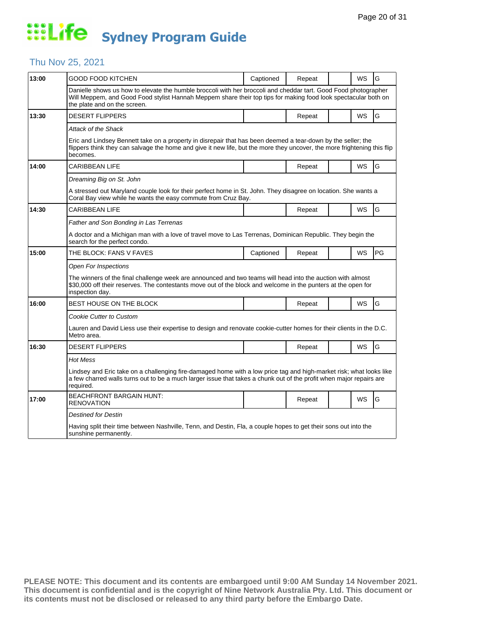#### Thu Nov 25, 2021

| 13:00 | GOOD FOOD KITCHEN                                                                                                                                                                                                                                                 | Captioned | Repeat |  | WS        | G  |  |  |
|-------|-------------------------------------------------------------------------------------------------------------------------------------------------------------------------------------------------------------------------------------------------------------------|-----------|--------|--|-----------|----|--|--|
|       | Danielle shows us how to elevate the humble broccoli with her broccoli and cheddar tart. Good Food photographer<br>Will Meppem, and Good Food stylist Hannah Meppem share their top tips for making food look spectacular both on<br>the plate and on the screen. |           |        |  |           |    |  |  |
| 13:30 | DESERT FLIPPERS                                                                                                                                                                                                                                                   |           | Repeat |  | WS        | G  |  |  |
|       | Attack of the Shack                                                                                                                                                                                                                                               |           |        |  |           |    |  |  |
|       | Eric and Lindsey Bennett take on a property in disrepair that has been deemed a tear-down by the seller; the<br>flippers think they can salvage the home and give it new life, but the more they uncover, the more frightening this flip<br>becomes.              |           |        |  |           |    |  |  |
| 14:00 | CARIBBEAN LIFE                                                                                                                                                                                                                                                    |           | Repeat |  | <b>WS</b> | G  |  |  |
|       | Dreaming Big on St. John                                                                                                                                                                                                                                          |           |        |  |           |    |  |  |
|       | A stressed out Maryland couple look for their perfect home in St. John. They disagree on location. She wants a<br>Coral Bay view while he wants the easy commute from Cruz Bay.                                                                                   |           |        |  |           |    |  |  |
| 14:30 | <b>CARIBBEAN LIFE</b>                                                                                                                                                                                                                                             |           | Repeat |  | WS        | G  |  |  |
|       | Father and Son Bonding in Las Terrenas                                                                                                                                                                                                                            |           |        |  |           |    |  |  |
|       | A doctor and a Michigan man with a love of travel move to Las Terrenas, Dominican Republic. They begin the<br>search for the perfect condo.                                                                                                                       |           |        |  |           |    |  |  |
| 15:00 | THE BLOCK: FANS V FAVES                                                                                                                                                                                                                                           | Captioned | Repeat |  | WS        | PG |  |  |
|       | Open For Inspections                                                                                                                                                                                                                                              |           |        |  |           |    |  |  |
|       | The winners of the final challenge week are announced and two teams will head into the auction with almost<br>\$30,000 off their reserves. The contestants move out of the block and welcome in the punters at the open for<br>inspection day.                    |           |        |  |           |    |  |  |
| 16:00 | BEST HOUSE ON THE BLOCK                                                                                                                                                                                                                                           |           | Repeat |  | WS        | G  |  |  |
|       | <b>Cookie Cutter to Custom</b>                                                                                                                                                                                                                                    |           |        |  |           |    |  |  |
|       | Lauren and David Liess use their expertise to design and renovate cookie-cutter homes for their clients in the D.C.<br>Metro area.                                                                                                                                |           |        |  |           |    |  |  |
| 16:30 | <b>DESERT FLIPPERS</b>                                                                                                                                                                                                                                            |           | Repeat |  | WS        | G  |  |  |
|       | Hot Mess                                                                                                                                                                                                                                                          |           |        |  |           |    |  |  |
|       | Lindsey and Eric take on a challenging fire-damaged home with a low price tag and high-market risk; what looks like<br>a few charred walls turns out to be a much larger issue that takes a chunk out of the profit when major repairs are<br>required.           |           |        |  |           |    |  |  |
| 17:00 | <b>BEACHFRONT BARGAIN HUNT:</b><br>RENOVATION                                                                                                                                                                                                                     |           | Repeat |  | WS        | G  |  |  |
|       | Destined for Destin                                                                                                                                                                                                                                               |           |        |  |           |    |  |  |
|       | Having split their time between Nashville, Tenn, and Destin, Fla, a couple hopes to get their sons out into the<br>sunshine permanently.                                                                                                                          |           |        |  |           |    |  |  |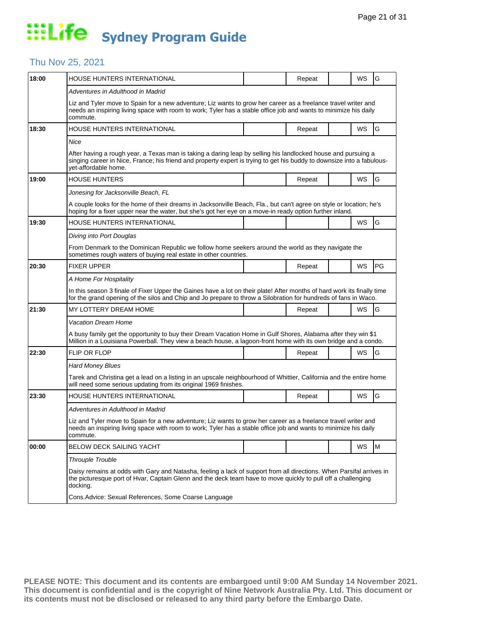### Thu Nov 25, 2021

| 18:00 | HOUSE HUNTERS INTERNATIONAL                                                                                                                                                                                                                                     |  | Repeat |  | WS        | G  |  |  |  |
|-------|-----------------------------------------------------------------------------------------------------------------------------------------------------------------------------------------------------------------------------------------------------------------|--|--------|--|-----------|----|--|--|--|
|       | Adventures in Adulthood in Madrid                                                                                                                                                                                                                               |  |        |  |           |    |  |  |  |
|       | Liz and Tyler move to Spain for a new adventure; Liz wants to grow her career as a freelance travel writer and<br>needs an inspiring living space with room to work; Tyler has a stable office job and wants to minimize his daily<br>commute.                  |  |        |  |           |    |  |  |  |
| 18:30 | HOUSE HUNTERS INTERNATIONAL                                                                                                                                                                                                                                     |  | Repeat |  | <b>WS</b> | G  |  |  |  |
|       | Nice                                                                                                                                                                                                                                                            |  |        |  |           |    |  |  |  |
|       | After having a rough year, a Texas man is taking a daring leap by selling his landlocked house and pursuing a<br>singing career in Nice, France; his friend and property expert is trying to get his buddy to downsize into a fabulous-<br>vet-affordable home. |  |        |  |           |    |  |  |  |
| 19:00 | HOUSE HUNTERS                                                                                                                                                                                                                                                   |  | Repeat |  | WS        | G  |  |  |  |
|       | Jonesing for Jacksonville Beach, FL                                                                                                                                                                                                                             |  |        |  |           |    |  |  |  |
|       | A couple looks for the home of their dreams in Jacksonville Beach, Fla., but can't agree on style or location; he's<br>hoping for a fixer upper near the water, but she's got her eye on a move-in ready option further inland.                                 |  |        |  |           |    |  |  |  |
| 19:30 | HOUSE HUNTERS INTERNATIONAL                                                                                                                                                                                                                                     |  |        |  | WS        | G  |  |  |  |
|       | Diving into Port Douglas                                                                                                                                                                                                                                        |  |        |  |           |    |  |  |  |
|       | From Denmark to the Dominican Republic we follow home seekers around the world as they navigate the<br>sometimes rough waters of buying real estate in other countries.                                                                                         |  |        |  |           |    |  |  |  |
| 20:30 | <b>FIXER UPPER</b>                                                                                                                                                                                                                                              |  | Repeat |  | WS        | PG |  |  |  |
|       | A Home For Hospitality                                                                                                                                                                                                                                          |  |        |  |           |    |  |  |  |
|       | In this season 3 finale of Fixer Upper the Gaines have a lot on their plate! After months of hard work its finally time<br>for the grand opening of the silos and Chip and Jo prepare to throw a Silobration for hundreds of fans in Waco.                      |  |        |  |           |    |  |  |  |
| 21:30 | MY LOTTERY DREAM HOME                                                                                                                                                                                                                                           |  | Repeat |  | WS        | G  |  |  |  |
|       | Vacation Dream Home                                                                                                                                                                                                                                             |  |        |  |           |    |  |  |  |
|       | A busy family get the opportunity to buy their Dream Vacation Home in Gulf Shores, Alabama after they win \$1<br>Million in a Louisiana Powerball. They view a beach house, a lagoon-front home with its own bridge and a condo.                                |  |        |  |           |    |  |  |  |
| 22:30 | <b>FLIP OR FLOP</b>                                                                                                                                                                                                                                             |  | Repeat |  | WS        | G  |  |  |  |
|       | <b>Hard Money Blues</b>                                                                                                                                                                                                                                         |  |        |  |           |    |  |  |  |
|       | Tarek and Christina get a lead on a listing in an upscale neighbourhood of Whittier, California and the entire home<br>will need some serious updating from its original 1969 finishes.                                                                         |  |        |  |           |    |  |  |  |
| 23:30 | HOUSE HUNTERS INTERNATIONAL                                                                                                                                                                                                                                     |  | Repeat |  | WS        | G  |  |  |  |
|       | Adventures in Adulthood in Madrid                                                                                                                                                                                                                               |  |        |  |           |    |  |  |  |
|       | Liz and Tyler move to Spain for a new adventure; Liz wants to grow her career as a freelance travel writer and<br>needs an inspiring living space with room to work; Tyler has a stable office job and wants to minimize his daily<br>commute.                  |  |        |  |           |    |  |  |  |
| 00:00 | BELOW DECK SAILING YACHT                                                                                                                                                                                                                                        |  |        |  | WS        | M  |  |  |  |
|       | <b>Throuple Trouble</b>                                                                                                                                                                                                                                         |  |        |  |           |    |  |  |  |
|       | Daisy remains at odds with Gary and Natasha, feeling a lack of support from all directions. When Parsifal arrives in<br>the picturesque port of Hvar, Captain Glenn and the deck team have to move quickly to pull off a challenging<br>docking.                |  |        |  |           |    |  |  |  |
|       | Cons. Advice: Sexual References, Some Coarse Language                                                                                                                                                                                                           |  |        |  |           |    |  |  |  |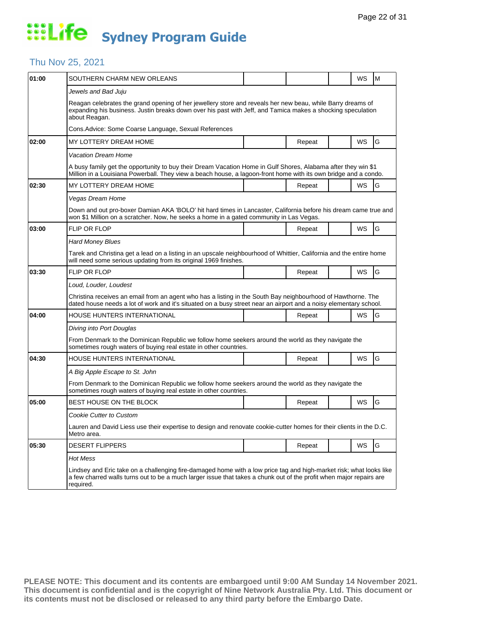#### Thu Nov 25, 2021

| 01:00 | SOUTHERN CHARM NEW ORLEANS                                                                                                                                                                                                                              |  |        |  | WS | M |  |  |
|-------|---------------------------------------------------------------------------------------------------------------------------------------------------------------------------------------------------------------------------------------------------------|--|--------|--|----|---|--|--|
|       | Jewels and Bad Juju                                                                                                                                                                                                                                     |  |        |  |    |   |  |  |
|       | Reagan celebrates the grand opening of her jewellery store and reveals her new beau, while Barry dreams of<br>expanding his business. Justin breaks down over his past with Jeff, and Tamica makes a shocking speculation<br>about Reagan.              |  |        |  |    |   |  |  |
|       | Cons. Advice: Some Coarse Language, Sexual References                                                                                                                                                                                                   |  |        |  |    |   |  |  |
| 02:00 | MY LOTTERY DREAM HOME                                                                                                                                                                                                                                   |  | Repeat |  | WS | G |  |  |
|       | Vacation Dream Home                                                                                                                                                                                                                                     |  |        |  |    |   |  |  |
|       | A busy family get the opportunity to buy their Dream Vacation Home in Gulf Shores, Alabama after they win \$1<br>Million in a Louisiana Powerball. They view a beach house, a lagoon-front home with its own bridge and a condo.                        |  |        |  |    |   |  |  |
| 02:30 | MY LOTTERY DREAM HOME                                                                                                                                                                                                                                   |  | Repeat |  | WS | G |  |  |
|       | Vegas Dream Home                                                                                                                                                                                                                                        |  |        |  |    |   |  |  |
|       | Down and out pro-boxer Damian AKA 'BOLO' hit hard times in Lancaster, California before his dream came true and<br>won \$1 Million on a scratcher. Now, he seeks a home in a gated community in Las Vegas.                                              |  |        |  |    |   |  |  |
| 03:00 | <b>FLIP OR FLOP</b>                                                                                                                                                                                                                                     |  | Repeat |  | WS | G |  |  |
|       | <b>Hard Money Blues</b>                                                                                                                                                                                                                                 |  |        |  |    |   |  |  |
|       | Tarek and Christina get a lead on a listing in an upscale neighbourhood of Whittier, California and the entire home<br>will need some serious updating from its original 1969 finishes.                                                                 |  |        |  |    |   |  |  |
| 03:30 | <b>FLIP OR FLOP</b>                                                                                                                                                                                                                                     |  | Repeat |  | WS | G |  |  |
|       | Loud, Louder, Loudest                                                                                                                                                                                                                                   |  |        |  |    |   |  |  |
|       | Christina receives an email from an agent who has a listing in the South Bay neighbourhood of Hawthorne. The<br>dated house needs a lot of work and it's situated on a busy street near an airport and a noisy elementary school.                       |  |        |  |    |   |  |  |
| 04:00 | HOUSE HUNTERS INTERNATIONAL                                                                                                                                                                                                                             |  | Repeat |  | WS | G |  |  |
|       | Diving into Port Douglas                                                                                                                                                                                                                                |  |        |  |    |   |  |  |
|       | From Denmark to the Dominican Republic we follow home seekers around the world as they navigate the<br>sometimes rough waters of buying real estate in other countries.                                                                                 |  |        |  |    |   |  |  |
| 04:30 | HOUSE HUNTERS INTERNATIONAL                                                                                                                                                                                                                             |  | Repeat |  | WS | G |  |  |
|       | A Big Apple Escape to St. John                                                                                                                                                                                                                          |  |        |  |    |   |  |  |
|       | From Denmark to the Dominican Republic we follow home seekers around the world as they navigate the<br>sometimes rough waters of buying real estate in other countries.                                                                                 |  |        |  |    |   |  |  |
| 05:00 | BEST HOUSE ON THE BLOCK                                                                                                                                                                                                                                 |  | Repeat |  | WS | G |  |  |
|       | <b>Cookie Cutter to Custom</b>                                                                                                                                                                                                                          |  |        |  |    |   |  |  |
|       | Lauren and David Liess use their expertise to design and renovate cookie-cutter homes for their clients in the D.C.<br>Metro area.                                                                                                                      |  |        |  |    |   |  |  |
| 05:30 | <b>DESERT FLIPPERS</b>                                                                                                                                                                                                                                  |  | Repeat |  | WS | G |  |  |
|       | Hot Mess                                                                                                                                                                                                                                                |  |        |  |    |   |  |  |
|       | Lindsey and Eric take on a challenging fire-damaged home with a low price tag and high-market risk; what looks like<br>a few charred walls turns out to be a much larger issue that takes a chunk out of the profit when major repairs are<br>required. |  |        |  |    |   |  |  |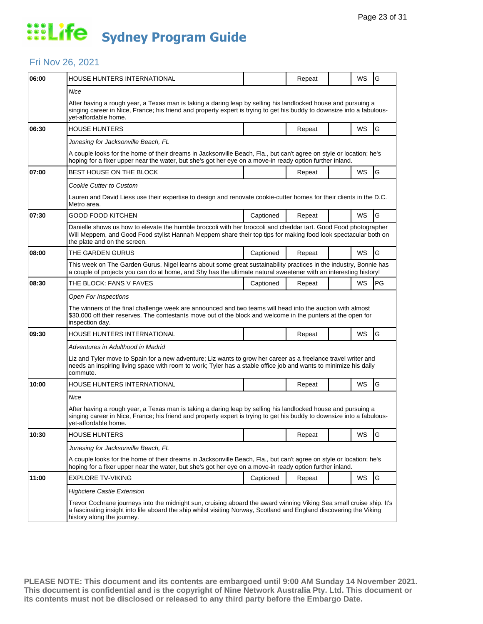### Fri Nov 26, 2021

| 06:00 | HOUSE HUNTERS INTERNATIONAL                                                                                                                                                                                                                                               |           | Repeat |  | WS        | G             |  |  |
|-------|---------------------------------------------------------------------------------------------------------------------------------------------------------------------------------------------------------------------------------------------------------------------------|-----------|--------|--|-----------|---------------|--|--|
|       | <b>Nice</b><br>After having a rough year, a Texas man is taking a daring leap by selling his landlocked house and pursuing a                                                                                                                                              |           |        |  |           |               |  |  |
|       | singing career in Nice, France; his friend and property expert is trying to get his buddy to downsize into a fabulous-<br>yet-affordable home.                                                                                                                            |           |        |  |           |               |  |  |
| 06:30 | <b>HOUSE HUNTERS</b>                                                                                                                                                                                                                                                      |           | Repeat |  | <b>WS</b> | G             |  |  |
|       | Jonesing for Jacksonville Beach, FL                                                                                                                                                                                                                                       |           |        |  |           |               |  |  |
|       | A couple looks for the home of their dreams in Jacksonville Beach, Fla., but can't agree on style or location; he's<br>hoping for a fixer upper near the water, but she's got her eye on a move-in ready option further inland.                                           |           |        |  |           |               |  |  |
| 07:00 | BEST HOUSE ON THE BLOCK                                                                                                                                                                                                                                                   |           | Repeat |  | WS        | G             |  |  |
|       | Cookie Cutter to Custom                                                                                                                                                                                                                                                   |           |        |  |           |               |  |  |
|       | Lauren and David Liess use their expertise to design and renovate cookie-cutter homes for their clients in the D.C.<br>Metro area.                                                                                                                                        |           |        |  |           |               |  |  |
| 07:30 | GOOD FOOD KITCHEN                                                                                                                                                                                                                                                         | Captioned | Repeat |  | <b>WS</b> | G             |  |  |
|       | Danielle shows us how to elevate the humble broccoli with her broccoli and cheddar tart. Good Food photographer<br>Will Meppem, and Good Food stylist Hannah Meppem share their top tips for making food look spectacular both on<br>the plate and on the screen.         |           |        |  |           |               |  |  |
| 08:00 | THE GARDEN GURUS                                                                                                                                                                                                                                                          | Captioned | Repeat |  | WS        | G             |  |  |
|       | This week on The Garden Gurus, Nigel learns about some great sustainability practices in the industry, Bonnie has<br>a couple of projects you can do at home, and Shy has the ultimate natural sweetener with an interesting history!                                     |           |        |  |           |               |  |  |
| 08:30 | THE BLOCK: FANS V FAVES                                                                                                                                                                                                                                                   | Captioned | Repeat |  | <b>WS</b> | <b>PG</b>     |  |  |
|       | Open For Inspections                                                                                                                                                                                                                                                      |           |        |  |           |               |  |  |
|       | The winners of the final challenge week are announced and two teams will head into the auction with almost<br>\$30,000 off their reserves. The contestants move out of the block and welcome in the punters at the open for<br>inspection day.                            |           |        |  |           |               |  |  |
| 09:30 | HOUSE HUNTERS INTERNATIONAL                                                                                                                                                                                                                                               |           | Repeat |  | <b>WS</b> | G             |  |  |
|       | Adventures in Adulthood in Madrid                                                                                                                                                                                                                                         |           |        |  |           |               |  |  |
|       | Liz and Tyler move to Spain for a new adventure; Liz wants to grow her career as a freelance travel writer and<br>needs an inspiring living space with room to work; Tyler has a stable office job and wants to minimize his daily<br>commute.                            |           |        |  |           |               |  |  |
| 10:00 | HOUSE HUNTERS INTERNATIONAL                                                                                                                                                                                                                                               |           | Repeat |  | WS        | G             |  |  |
|       | Nice                                                                                                                                                                                                                                                                      |           |        |  |           |               |  |  |
|       | After having a rough year, a Texas man is taking a daring leap by selling his landlocked house and pursuing a<br>singing career in Nice, France; his friend and property expert is trying to get his buddy to downsize into a fabulous-<br>yet-affordable home.           |           |        |  |           |               |  |  |
| 10:30 | <b>HOUSE HUNTERS</b>                                                                                                                                                                                                                                                      |           | Repeat |  | WS        | G             |  |  |
|       | Jonesing for Jacksonville Beach, FL                                                                                                                                                                                                                                       |           |        |  |           |               |  |  |
|       | A couple looks for the home of their dreams in Jacksonville Beach, Fla., but can't agree on style or location; he's<br>hoping for a fixer upper near the water, but she's got her eye on a move-in ready option further inland.                                           |           |        |  |           |               |  |  |
| 11:00 | <b>EXPLORE TV-VIKING</b>                                                                                                                                                                                                                                                  | Captioned | Repeat |  | WS        | ${\mathsf G}$ |  |  |
|       | <b>Highclere Castle Extension</b>                                                                                                                                                                                                                                         |           |        |  |           |               |  |  |
|       | Trevor Cochrane journeys into the midnight sun, cruising aboard the award winning Viking Sea small cruise ship. It's<br>a fascinating insight into life aboard the ship whilst visiting Norway, Scotland and England discovering the Viking<br>history along the journey. |           |        |  |           |               |  |  |
|       |                                                                                                                                                                                                                                                                           |           |        |  |           |               |  |  |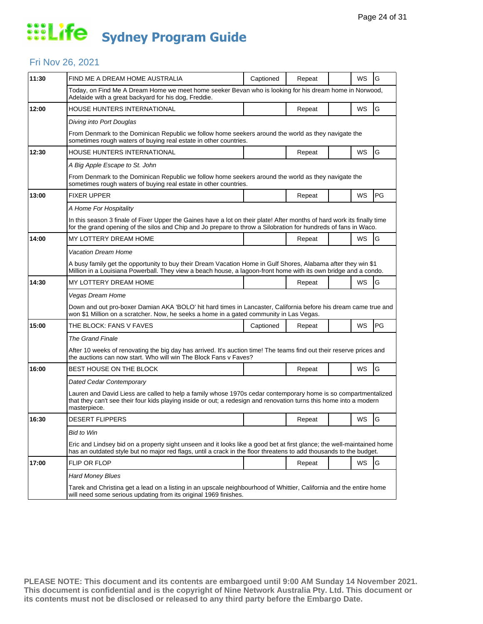#### Fri Nov 26, 2021

| 11:30 | FIND ME A DREAM HOME AUSTRALIA                                                                                                                                                                                                                       | Captioned | Repeat |  | WS | G  |  |  |
|-------|------------------------------------------------------------------------------------------------------------------------------------------------------------------------------------------------------------------------------------------------------|-----------|--------|--|----|----|--|--|
|       | Today, on Find Me A Dream Home we meet home seeker Bevan who is looking for his dream home in Norwood,<br>Adelaide with a great backyard for his dog, Freddie.                                                                                       |           |        |  |    |    |  |  |
| 12:00 | <b>HOUSE HUNTERS INTERNATIONAL</b>                                                                                                                                                                                                                   |           | Repeat |  | WS | G  |  |  |
|       | Diving into Port Douglas                                                                                                                                                                                                                             |           |        |  |    |    |  |  |
|       | From Denmark to the Dominican Republic we follow home seekers around the world as they navigate the<br>sometimes rough waters of buying real estate in other countries.                                                                              |           |        |  |    |    |  |  |
| 12:30 | HOUSE HUNTERS INTERNATIONAL                                                                                                                                                                                                                          |           | Repeat |  | WS | G  |  |  |
|       | A Big Apple Escape to St. John                                                                                                                                                                                                                       |           |        |  |    |    |  |  |
|       | From Denmark to the Dominican Republic we follow home seekers around the world as they navigate the<br>sometimes rough waters of buying real estate in other countries.                                                                              |           |        |  |    |    |  |  |
| 13:00 | <b>FIXER UPPER</b>                                                                                                                                                                                                                                   |           | Repeat |  | WS | PG |  |  |
|       | A Home For Hospitality                                                                                                                                                                                                                               |           |        |  |    |    |  |  |
|       | In this season 3 finale of Fixer Upper the Gaines have a lot on their plate! After months of hard work its finally time<br>for the grand opening of the silos and Chip and Jo prepare to throw a Silobration for hundreds of fans in Waco.           |           |        |  |    |    |  |  |
| 14:00 | MY LOTTERY DREAM HOME                                                                                                                                                                                                                                |           | Repeat |  | WS | G  |  |  |
|       | <b>Vacation Dream Home</b>                                                                                                                                                                                                                           |           |        |  |    |    |  |  |
|       | A busy family get the opportunity to buy their Dream Vacation Home in Gulf Shores, Alabama after they win \$1<br>Million in a Louisiana Powerball. They view a beach house, a lagoon-front home with its own bridge and a condo.                     |           |        |  |    |    |  |  |
| 14:30 | MY LOTTERY DREAM HOME                                                                                                                                                                                                                                |           | Repeat |  | WS | G  |  |  |
|       | Vegas Dream Home                                                                                                                                                                                                                                     |           |        |  |    |    |  |  |
|       | Down and out pro-boxer Damian AKA 'BOLO' hit hard times in Lancaster, California before his dream came true and<br>won \$1 Million on a scratcher. Now, he seeks a home in a gated community in Las Vegas.                                           |           |        |  |    |    |  |  |
| 15:00 | THE BLOCK: FANS V FAVES                                                                                                                                                                                                                              | Captioned | Repeat |  | WS | PG |  |  |
|       | <b>The Grand Finale</b>                                                                                                                                                                                                                              |           |        |  |    |    |  |  |
|       | After 10 weeks of renovating the big day has arrived. It's auction time! The teams find out their reserve prices and<br>the auctions can now start. Who will win The Block Fans v Faves?                                                             |           |        |  |    |    |  |  |
| 16:00 | BEST HOUSE ON THE BLOCK                                                                                                                                                                                                                              |           | Repeat |  | WS | G  |  |  |
|       | Dated Cedar Contemporary                                                                                                                                                                                                                             |           |        |  |    |    |  |  |
|       | Lauren and David Liess are called to help a family whose 1970s cedar contemporary home is so compartmentalized<br>that they can't see their four kids playing inside or out; a redesign and renovation turns this home into a modern<br>masterpiece. |           |        |  |    |    |  |  |
| 16:30 | <b>DESERT FLIPPERS</b>                                                                                                                                                                                                                               |           | Repeat |  | WS | G  |  |  |
|       | <b>Bid to Win</b>                                                                                                                                                                                                                                    |           |        |  |    |    |  |  |
|       | Eric and Lindsey bid on a property sight unseen and it looks like a good bet at first glance; the well-maintained home<br>has an outdated style but no major red flags, until a crack in the floor threatens to add thousands to the budget.         |           |        |  |    |    |  |  |
| 17:00 | FLIP OR FLOP                                                                                                                                                                                                                                         |           | Repeat |  | WS | G  |  |  |
|       | <b>Hard Money Blues</b>                                                                                                                                                                                                                              |           |        |  |    |    |  |  |
|       | Tarek and Christina get a lead on a listing in an upscale neighbourhood of Whittier, California and the entire home<br>will need some serious updating from its original 1969 finishes.                                                              |           |        |  |    |    |  |  |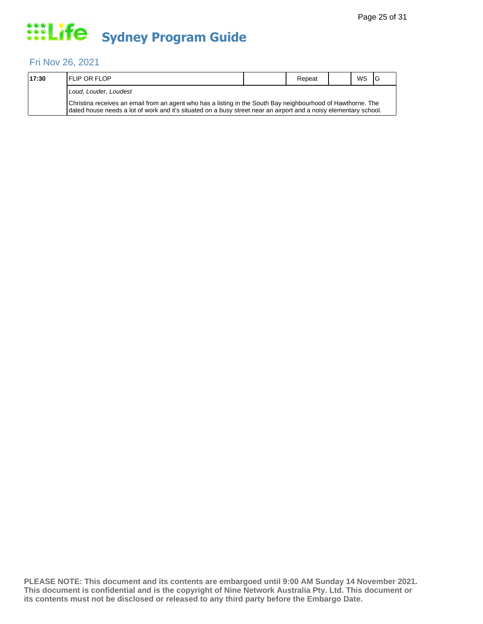#### Fri Nov 26, 2021

| 17:30 | <b>IFLIP OR FLOP</b>                                                                                                                                                                                                              |  | Repeat |  | <b>WS</b> | - IG |  |  |
|-------|-----------------------------------------------------------------------------------------------------------------------------------------------------------------------------------------------------------------------------------|--|--------|--|-----------|------|--|--|
|       | Loud. Louder. Loudest                                                                                                                                                                                                             |  |        |  |           |      |  |  |
|       | Christina receives an email from an agent who has a listing in the South Bay neighbourhood of Hawthorne. The<br>dated house needs a lot of work and it's situated on a busy street near an airport and a noisy elementary school. |  |        |  |           |      |  |  |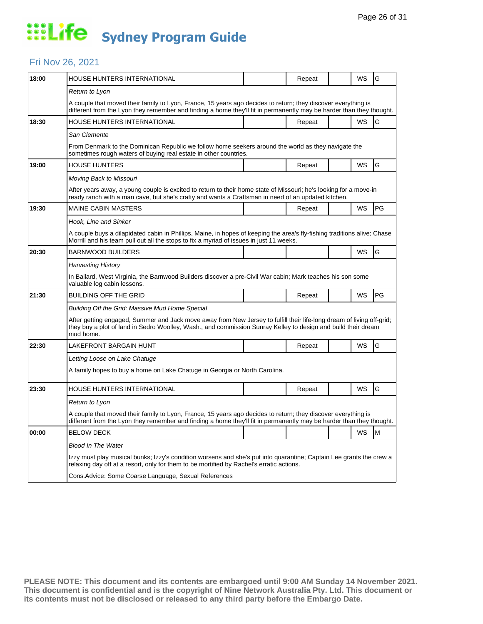#### Fri Nov 26, 2021

|                                                                                                                                                                                                                                                     |  | Repeat                                                           |  | WS                                                                                                 | G                                                                                                                                                                                                                        |  |  |
|-----------------------------------------------------------------------------------------------------------------------------------------------------------------------------------------------------------------------------------------------------|--|------------------------------------------------------------------|--|----------------------------------------------------------------------------------------------------|--------------------------------------------------------------------------------------------------------------------------------------------------------------------------------------------------------------------------|--|--|
| Return to Lyon                                                                                                                                                                                                                                      |  |                                                                  |  |                                                                                                    |                                                                                                                                                                                                                          |  |  |
| A couple that moved their family to Lyon, France, 15 years ago decides to return; they discover everything is<br>different from the Lyon they remember and finding a home they'll fit in permanently may be harder than they thought.               |  |                                                                  |  |                                                                                                    |                                                                                                                                                                                                                          |  |  |
|                                                                                                                                                                                                                                                     |  | Repeat                                                           |  | WS                                                                                                 | G                                                                                                                                                                                                                        |  |  |
|                                                                                                                                                                                                                                                     |  |                                                                  |  |                                                                                                    |                                                                                                                                                                                                                          |  |  |
|                                                                                                                                                                                                                                                     |  |                                                                  |  |                                                                                                    |                                                                                                                                                                                                                          |  |  |
|                                                                                                                                                                                                                                                     |  | Repeat                                                           |  | WS                                                                                                 | G                                                                                                                                                                                                                        |  |  |
|                                                                                                                                                                                                                                                     |  |                                                                  |  |                                                                                                    |                                                                                                                                                                                                                          |  |  |
|                                                                                                                                                                                                                                                     |  |                                                                  |  |                                                                                                    |                                                                                                                                                                                                                          |  |  |
|                                                                                                                                                                                                                                                     |  | Repeat                                                           |  | WS                                                                                                 | PG                                                                                                                                                                                                                       |  |  |
|                                                                                                                                                                                                                                                     |  |                                                                  |  |                                                                                                    |                                                                                                                                                                                                                          |  |  |
| A couple buys a dilapidated cabin in Phillips, Maine, in hopes of keeping the area's fly-fishing traditions alive; Chase<br>Morrill and his team pull out all the stops to fix a myriad of issues in just 11 weeks.                                 |  |                                                                  |  |                                                                                                    |                                                                                                                                                                                                                          |  |  |
|                                                                                                                                                                                                                                                     |  |                                                                  |  | WS                                                                                                 | G                                                                                                                                                                                                                        |  |  |
| <b>Harvesting History</b>                                                                                                                                                                                                                           |  |                                                                  |  |                                                                                                    |                                                                                                                                                                                                                          |  |  |
| In Ballard, West Virginia, the Barnwood Builders discover a pre-Civil War cabin; Mark teaches his son some<br>valuable log cabin lessons.                                                                                                           |  |                                                                  |  |                                                                                                    |                                                                                                                                                                                                                          |  |  |
|                                                                                                                                                                                                                                                     |  | Repeat                                                           |  | WS                                                                                                 | PG                                                                                                                                                                                                                       |  |  |
| Building Off the Grid: Massive Mud Home Special                                                                                                                                                                                                     |  |                                                                  |  |                                                                                                    |                                                                                                                                                                                                                          |  |  |
| After getting engaged, Summer and Jack move away from New Jersey to fulfill their life-long dream of living off-grid;<br>they buy a plot of land in Sedro Woolley, Wash., and commission Sunray Kelley to design and build their dream<br>mud home. |  |                                                                  |  |                                                                                                    |                                                                                                                                                                                                                          |  |  |
|                                                                                                                                                                                                                                                     |  | Repeat                                                           |  | WS                                                                                                 | G                                                                                                                                                                                                                        |  |  |
| Letting Loose on Lake Chatuge                                                                                                                                                                                                                       |  |                                                                  |  |                                                                                                    |                                                                                                                                                                                                                          |  |  |
| A family hopes to buy a home on Lake Chatuge in Georgia or North Carolina.                                                                                                                                                                          |  |                                                                  |  |                                                                                                    |                                                                                                                                                                                                                          |  |  |
|                                                                                                                                                                                                                                                     |  | Repeat                                                           |  | WS                                                                                                 | G                                                                                                                                                                                                                        |  |  |
| Return to Lyon                                                                                                                                                                                                                                      |  |                                                                  |  |                                                                                                    |                                                                                                                                                                                                                          |  |  |
| A couple that moved their family to Lyon, France, 15 years ago decides to return; they discover everything is<br>different from the Lyon they remember and finding a home they'll fit in permanently may be harder than they thought.               |  |                                                                  |  |                                                                                                    |                                                                                                                                                                                                                          |  |  |
|                                                                                                                                                                                                                                                     |  |                                                                  |  | WS                                                                                                 | M                                                                                                                                                                                                                        |  |  |
| Blood In The Water                                                                                                                                                                                                                                  |  |                                                                  |  |                                                                                                    |                                                                                                                                                                                                                          |  |  |
| Izzy must play musical bunks; Izzy's condition worsens and she's put into quarantine; Captain Lee grants the crew a<br>relaxing day off at a resort, only for them to be mortified by Rachel's erratic actions.                                     |  |                                                                  |  |                                                                                                    |                                                                                                                                                                                                                          |  |  |
| Cons. Advice: Some Coarse Language, Sexual References                                                                                                                                                                                               |  |                                                                  |  |                                                                                                    |                                                                                                                                                                                                                          |  |  |
|                                                                                                                                                                                                                                                     |  | sometimes rough waters of buying real estate in other countries. |  | ready ranch with a man cave, but she's crafty and wants a Craftsman in need of an updated kitchen. | From Denmark to the Dominican Republic we follow home seekers around the world as they navigate the<br>After years away, a young couple is excited to return to their home state of Missouri; he's looking for a move-in |  |  |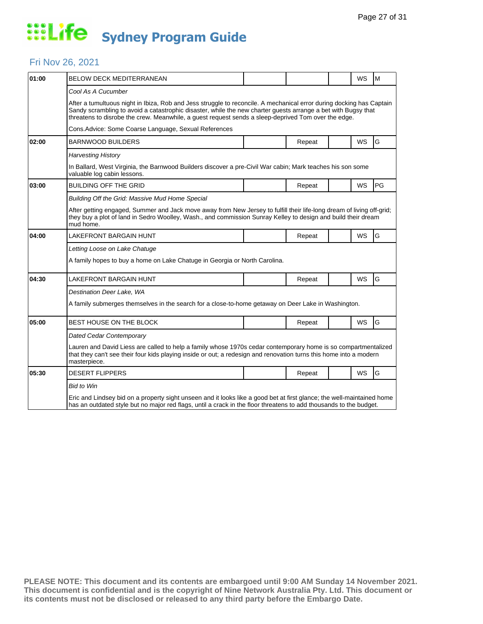### Fri Nov 26, 2021

| 01:00 | <b>BELOW DECK MEDITERRANEAN</b>                                                                                                                                                                                                                             |  |        |  | <b>WS</b> | M  |  |  |
|-------|-------------------------------------------------------------------------------------------------------------------------------------------------------------------------------------------------------------------------------------------------------------|--|--------|--|-----------|----|--|--|
|       | Cool As A Cucumber<br>After a tumultuous night in Ibiza, Rob and Jess struggle to reconcile. A mechanical error during docking has Captain<br>Sandy scrambling to avoid a catastrophic disaster, while the new charter guests arrange a bet with Bugsy that |  |        |  |           |    |  |  |
|       | threatens to disrobe the crew. Meanwhile, a guest request sends a sleep-deprived Tom over the edge.<br>Cons. Advice: Some Coarse Language, Sexual References                                                                                                |  |        |  |           |    |  |  |
| 02:00 | <b>BARNWOOD BUILDERS</b>                                                                                                                                                                                                                                    |  | Repeat |  | <b>WS</b> | G  |  |  |
|       | <b>Harvesting History</b>                                                                                                                                                                                                                                   |  |        |  |           |    |  |  |
|       | In Ballard, West Virginia, the Barnwood Builders discover a pre-Civil War cabin; Mark teaches his son some<br>valuable log cabin lessons.                                                                                                                   |  |        |  |           |    |  |  |
| 03:00 | <b>BUILDING OFF THE GRID</b>                                                                                                                                                                                                                                |  | Repeat |  | WS        | PG |  |  |
|       | Building Off the Grid: Massive Mud Home Special                                                                                                                                                                                                             |  |        |  |           |    |  |  |
|       | After getting engaged, Summer and Jack move away from New Jersey to fulfill their life-long dream of living off-grid;<br>they buy a plot of land in Sedro Woolley, Wash., and commission Sunray Kelley to design and build their dream<br>mud home.         |  |        |  |           |    |  |  |
| 04:00 | LAKEFRONT BARGAIN HUNT                                                                                                                                                                                                                                      |  | Repeat |  | WS        | G  |  |  |
|       | Letting Loose on Lake Chatuge                                                                                                                                                                                                                               |  |        |  |           |    |  |  |
|       | A family hopes to buy a home on Lake Chatuge in Georgia or North Carolina.                                                                                                                                                                                  |  |        |  |           |    |  |  |
| 04:30 | <b>LAKEFRONT BARGAIN HUNT</b>                                                                                                                                                                                                                               |  | Repeat |  | <b>WS</b> | G  |  |  |
|       | Destination Deer Lake, WA                                                                                                                                                                                                                                   |  |        |  |           |    |  |  |
|       | A family submerges themselves in the search for a close-to-home getaway on Deer Lake in Washington.                                                                                                                                                         |  |        |  |           |    |  |  |
| 05:00 | BEST HOUSE ON THE BLOCK                                                                                                                                                                                                                                     |  | Repeat |  | <b>WS</b> | G  |  |  |
|       | Dated Cedar Contemporary                                                                                                                                                                                                                                    |  |        |  |           |    |  |  |
|       | Lauren and David Liess are called to help a family whose 1970s cedar contemporary home is so compartmentalized<br>that they can't see their four kids playing inside or out; a redesign and renovation turns this home into a modern<br>masterpiece.        |  |        |  |           |    |  |  |
| 05:30 | <b>DESERT FLIPPERS</b>                                                                                                                                                                                                                                      |  | Repeat |  | WS        | G  |  |  |
|       | <b>Bid to Win</b>                                                                                                                                                                                                                                           |  |        |  |           |    |  |  |
|       | Eric and Lindsey bid on a property sight unseen and it looks like a good bet at first glance; the well-maintained home<br>has an outdated style but no major red flags, until a crack in the floor threatens to add thousands to the budget.                |  |        |  |           |    |  |  |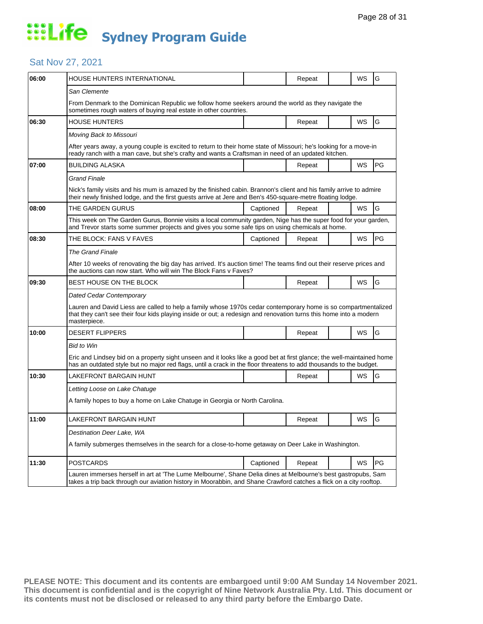#### Sat Nov 27, 2021

| 06:00 | HOUSE HUNTERS INTERNATIONAL                                                                                                                                                                                                                          |           | Repeat |  | WS        | G  |  |
|-------|------------------------------------------------------------------------------------------------------------------------------------------------------------------------------------------------------------------------------------------------------|-----------|--------|--|-----------|----|--|
|       | San Clemente                                                                                                                                                                                                                                         |           |        |  |           |    |  |
|       | From Denmark to the Dominican Republic we follow home seekers around the world as they navigate the<br>sometimes rough waters of buying real estate in other countries.                                                                              |           |        |  |           |    |  |
| 06:30 | <b>HOUSE HUNTERS</b>                                                                                                                                                                                                                                 |           | Repeat |  | WS        | G  |  |
|       | Moving Back to Missouri                                                                                                                                                                                                                              |           |        |  |           |    |  |
|       | After years away, a young couple is excited to return to their home state of Missouri; he's looking for a move-in<br>ready ranch with a man cave, but she's crafty and wants a Craftsman in need of an updated kitchen.                              |           |        |  |           |    |  |
| 07:00 | <b>BUILDING ALASKA</b>                                                                                                                                                                                                                               |           | Repeat |  | WS        | PG |  |
|       | <b>Grand Finale</b>                                                                                                                                                                                                                                  |           |        |  |           |    |  |
|       | Nick's family visits and his mum is amazed by the finished cabin. Brannon's client and his family arrive to admire<br>their newly finished lodge, and the first guests arrive at Jere and Ben's 450-square-metre floating lodge.                     |           |        |  |           |    |  |
| 08:00 | THE GARDEN GURUS                                                                                                                                                                                                                                     | Captioned | Repeat |  | WS        | G  |  |
|       | This week on The Garden Gurus, Bonnie visits a local community garden, Nige has the super food for your garden,<br>and Trevor starts some summer projects and gives you some safe tips on using chemicals at home.                                   |           |        |  |           |    |  |
| 08:30 | THE BLOCK: FANS V FAVES                                                                                                                                                                                                                              | Captioned | Repeat |  | <b>WS</b> | PG |  |
|       | <b>The Grand Finale</b>                                                                                                                                                                                                                              |           |        |  |           |    |  |
|       | After 10 weeks of renovating the big day has arrived. It's auction time! The teams find out their reserve prices and<br>the auctions can now start. Who will win The Block Fans y Faves?                                                             |           |        |  |           |    |  |
| 09:30 | <b>BEST HOUSE ON THE BLOCK</b>                                                                                                                                                                                                                       |           | Repeat |  | WS        | G  |  |
|       | <b>Dated Cedar Contemporary</b>                                                                                                                                                                                                                      |           |        |  |           |    |  |
|       | Lauren and David Liess are called to help a family whose 1970s cedar contemporary home is so compartmentalized<br>that they can't see their four kids playing inside or out; a redesign and renovation turns this home into a modern<br>masterpiece. |           |        |  |           |    |  |
| 10:00 | <b>DESERT FLIPPERS</b>                                                                                                                                                                                                                               |           | Repeat |  | <b>WS</b> | G  |  |
|       | <b>Bid to Win</b>                                                                                                                                                                                                                                    |           |        |  |           |    |  |
|       | Eric and Lindsey bid on a property sight unseen and it looks like a good bet at first glance; the well-maintained home<br>has an outdated style but no major red flags, until a crack in the floor threatens to add thousands to the budget.         |           |        |  |           |    |  |
| 10:30 | LAKEFRONT BARGAIN HUNT                                                                                                                                                                                                                               |           | Repeat |  | WS        | G  |  |
|       | Letting Loose on Lake Chatuge                                                                                                                                                                                                                        |           |        |  |           |    |  |
|       | A family hopes to buy a home on Lake Chatuge in Georgia or North Carolina.                                                                                                                                                                           |           |        |  |           |    |  |
| 11:00 | LAKEFRONT BARGAIN HUNT                                                                                                                                                                                                                               |           | Repeat |  | WS        | G  |  |
|       | Destination Deer Lake, WA                                                                                                                                                                                                                            |           |        |  |           |    |  |
|       | A family submerges themselves in the search for a close-to-home getaway on Deer Lake in Washington.                                                                                                                                                  |           |        |  |           |    |  |
| 11:30 | <b>POSTCARDS</b>                                                                                                                                                                                                                                     | Captioned | Repeat |  | WS        | PG |  |
|       | Lauren immerses herself in art at 'The Lume Melbourne', Shane Delia dines at Melbourne's best gastropubs, Sam<br>takes a trip back through our aviation history in Moorabbin, and Shane Crawford catches a flick on a city rooftop.                  |           |        |  |           |    |  |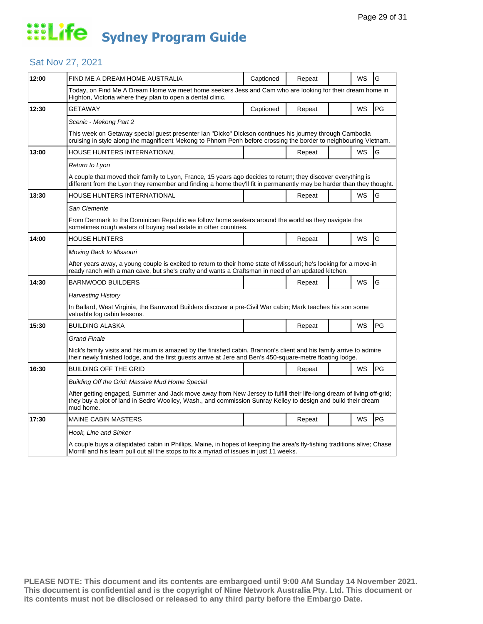#### Sat Nov 27, 2021

| 12:00 | FIND ME A DREAM HOME AUSTRALIA                                                                                                                                                                                                                      | Captioned | Repeat |  | WS        | G             |  |  |
|-------|-----------------------------------------------------------------------------------------------------------------------------------------------------------------------------------------------------------------------------------------------------|-----------|--------|--|-----------|---------------|--|--|
|       | Today, on Find Me A Dream Home we meet home seekers Jess and Cam who are looking for their dream home in<br>Highton, Victoria where they plan to open a dental clinic.                                                                              |           |        |  |           |               |  |  |
| 12:30 | GETAWAY                                                                                                                                                                                                                                             | Captioned | Repeat |  | WS        | $\mathsf{PG}$ |  |  |
|       | Scenic - Mekong Part 2                                                                                                                                                                                                                              |           |        |  |           |               |  |  |
|       | This week on Getaway special guest presenter Ian "Dicko" Dickson continues his journey through Cambodia<br>cruising in style along the magnificent Mekong to Phnom Penh before crossing the border to neighbouring Vietnam.                         |           |        |  |           |               |  |  |
| 13:00 | HOUSE HUNTERS INTERNATIONAL                                                                                                                                                                                                                         |           | Repeat |  | WS        | G             |  |  |
|       | Return to Lyon                                                                                                                                                                                                                                      |           |        |  |           |               |  |  |
|       | A couple that moved their family to Lyon, France, 15 years ago decides to return; they discover everything is<br>different from the Lyon they remember and finding a home they'll fit in permanently may be harder than they thought.               |           |        |  |           |               |  |  |
| 13:30 | HOUSE HUNTERS INTERNATIONAL                                                                                                                                                                                                                         |           | Repeat |  | WS        | G             |  |  |
|       | San Clemente                                                                                                                                                                                                                                        |           |        |  |           |               |  |  |
|       | From Denmark to the Dominican Republic we follow home seekers around the world as they navigate the<br>sometimes rough waters of buying real estate in other countries.                                                                             |           |        |  |           |               |  |  |
| 14:00 | <b>HOUSE HUNTERS</b>                                                                                                                                                                                                                                |           | Repeat |  | <b>WS</b> | G             |  |  |
|       | Moving Back to Missouri                                                                                                                                                                                                                             |           |        |  |           |               |  |  |
|       | After years away, a young couple is excited to return to their home state of Missouri; he's looking for a move-in<br>ready ranch with a man cave, but she's crafty and wants a Craftsman in need of an updated kitchen.                             |           |        |  |           |               |  |  |
| 14:30 | <b>BARNWOOD BUILDERS</b>                                                                                                                                                                                                                            |           | Repeat |  | WS        | G             |  |  |
|       | Harvesting History                                                                                                                                                                                                                                  |           |        |  |           |               |  |  |
|       | In Ballard, West Virginia, the Barnwood Builders discover a pre-Civil War cabin; Mark teaches his son some<br>valuable log cabin lessons.                                                                                                           |           |        |  |           |               |  |  |
| 15:30 | <b>BUILDING ALASKA</b>                                                                                                                                                                                                                              |           | Repeat |  | WS        | PG            |  |  |
|       | Grand Finale                                                                                                                                                                                                                                        |           |        |  |           |               |  |  |
|       | Nick's family visits and his mum is amazed by the finished cabin. Brannon's client and his family arrive to admire<br>their newly finished lodge, and the first guests arrive at Jere and Ben's 450-square-metre floating lodge.                    |           |        |  |           |               |  |  |
| 16:30 | <b>BUILDING OFF THE GRID</b>                                                                                                                                                                                                                        |           | Repeat |  | <b>WS</b> | PG            |  |  |
|       | Building Off the Grid: Massive Mud Home Special                                                                                                                                                                                                     |           |        |  |           |               |  |  |
|       | After getting engaged, Summer and Jack move away from New Jersey to fulfill their life-long dream of living off-grid;<br>they buy a plot of land in Sedro Woolley, Wash., and commission Sunray Kelley to design and build their dream<br>mud home. |           |        |  |           |               |  |  |
| 17:30 | <b>MAINE CABIN MASTERS</b>                                                                                                                                                                                                                          |           | Repeat |  | <b>WS</b> | PG            |  |  |
|       | Hook, Line and Sinker                                                                                                                                                                                                                               |           |        |  |           |               |  |  |
|       | A couple buys a dilapidated cabin in Phillips, Maine, in hopes of keeping the area's fly-fishing traditions alive; Chase<br>Morrill and his team pull out all the stops to fix a myriad of issues in just 11 weeks.                                 |           |        |  |           |               |  |  |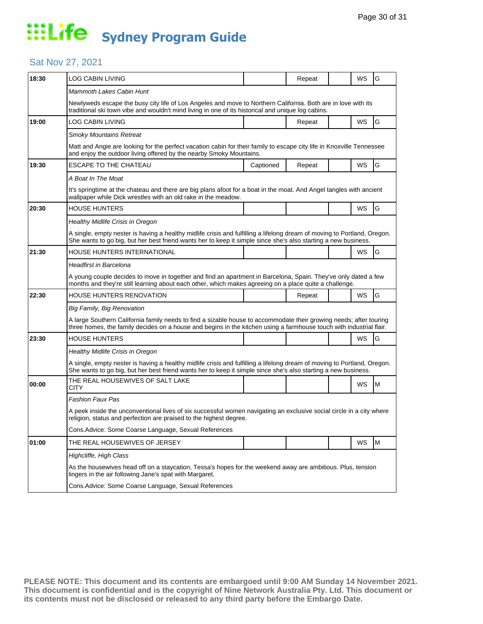#### Sat Nov 27, 2021

| 18:30 | <b>LOG CABIN LIVING</b>                                                                                                                                                                                                                    |           | Repeat |  | WS        | G |  |  |
|-------|--------------------------------------------------------------------------------------------------------------------------------------------------------------------------------------------------------------------------------------------|-----------|--------|--|-----------|---|--|--|
|       | Mammoth Lakes Cabin Hunt                                                                                                                                                                                                                   |           |        |  |           |   |  |  |
|       | Newlyweds escape the busy city life of Los Angeles and move to Northern California. Both are in love with its<br>traditional ski town vibe and wouldn't mind living in one of its historical and unique log cabins.                        |           |        |  |           |   |  |  |
| 19:00 | LOG CABIN LIVING                                                                                                                                                                                                                           |           | Repeat |  | WS        | G |  |  |
|       | Smoky Mountains Retreat                                                                                                                                                                                                                    |           |        |  |           |   |  |  |
|       | Matt and Angie are looking for the perfect vacation cabin for their family to escape city life in Knoxville Tennessee<br>and enjoy the outdoor living offered by the nearby Smoky Mountains.                                               |           |        |  |           |   |  |  |
| 19:30 | <b>ESCAPE TO THE CHATEAU</b>                                                                                                                                                                                                               | Captioned | Repeat |  | WS        | G |  |  |
|       | A Boat In The Moat                                                                                                                                                                                                                         |           |        |  |           |   |  |  |
|       | It's springtime at the chateau and there are big plans afoot for a boat in the moat. And Angel tangles with ancient<br>wallpaper while Dick wrestles with an old rake in the meadow.                                                       |           |        |  |           |   |  |  |
| 20:30 | HOUSE HUNTERS                                                                                                                                                                                                                              |           |        |  | WS        | G |  |  |
|       | Healthy Midlife Crisis in Oregon                                                                                                                                                                                                           |           |        |  |           |   |  |  |
|       | A single, empty nester is having a healthy midlife crisis and fulfilling a lifelong dream of moving to Portland, Oregon.<br>She wants to go big, but her best friend wants her to keep it simple since she's also starting a new business. |           |        |  |           |   |  |  |
| 21:30 | HOUSE HUNTERS INTERNATIONAL                                                                                                                                                                                                                |           |        |  | WS        | G |  |  |
|       | Headfirst in Barcelona                                                                                                                                                                                                                     |           |        |  |           |   |  |  |
|       | A young couple decides to move in together and find an apartment in Barcelona, Spain. They've only dated a few<br>months and they're still learning about each other, which makes agreeing on a place quite a challenge.                   |           |        |  |           |   |  |  |
| 22:30 | HOUSE HUNTERS RENOVATION                                                                                                                                                                                                                   |           | Repeat |  | <b>WS</b> | G |  |  |
|       | Big Family, Big Renovation                                                                                                                                                                                                                 |           |        |  |           |   |  |  |
|       | A large Southern California family needs to find a sizable house to accommodate their growing needs; after touring<br>three homes, the family decides on a house and begins in the kitchen using a farmhouse touch with industrial flair.  |           |        |  |           |   |  |  |
| 23:30 | <b>HOUSE HUNTERS</b>                                                                                                                                                                                                                       |           |        |  | WS        | G |  |  |
|       | Healthy Midlife Crisis in Oregon                                                                                                                                                                                                           |           |        |  |           |   |  |  |
|       | A single, empty nester is having a healthy midlife crisis and fulfilling a lifelong dream of moving to Portland, Oregon.<br>She wants to go big, but her best friend wants her to keep it simple since she's also starting a new business. |           |        |  |           |   |  |  |
| 00:00 | THE REAL HOUSEWIVES OF SALT LAKE<br>CITY                                                                                                                                                                                                   |           |        |  | WS        | M |  |  |
|       | Fashion Faux Pas                                                                                                                                                                                                                           |           |        |  |           |   |  |  |
|       | A peek inside the unconventional lives of six successful women navigating an exclusive social circle in a city where<br>religion, status and perfection are praised to the highest degree.                                                 |           |        |  |           |   |  |  |
|       | Cons. Advice: Some Coarse Language, Sexual References                                                                                                                                                                                      |           |        |  |           |   |  |  |
| 01:00 | THE REAL HOUSEWIVES OF JERSEY                                                                                                                                                                                                              |           |        |  | WS        | M |  |  |
|       | Highcliffe, High Class                                                                                                                                                                                                                     |           |        |  |           |   |  |  |
|       | As the housewives head off on a staycation, Tessa's hopes for the weekend away are ambitious. Plus, tension<br>lingers in the air following Jane's spat with Margaret.                                                                     |           |        |  |           |   |  |  |
|       | Cons. Advice: Some Coarse Language, Sexual References                                                                                                                                                                                      |           |        |  |           |   |  |  |